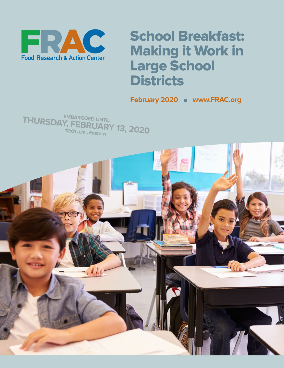

## School Breakfast: Making it Work in Large School **Districts**

**February 2020** <sup>n</sup> **[www.FRAC.org](http://www.frac.org)**

**EMBARGOED UNTIL THURSDAY, FEBRUARY 13, 2020 12:01 a.m., Eastern**

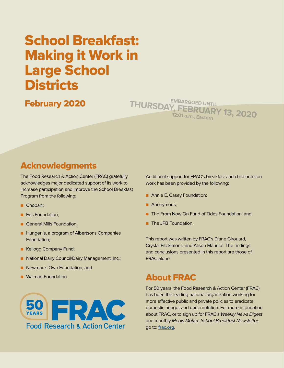## School Breakfast: Making it Work in Large School **Districts**

February 2020

**EMBARGOED UNTIL THURSDAY, FEBRUARY 13, 2020 12:01 a.m., Eastern**

## Acknowledgments

The Food Research & Action Center (FRAC) gratefully acknowledges major dedicated support of its work to increase participation and improve the School Breakfast Program from the following:

- Chobani;
- **n** Eos Foundation;
- **n** General Mills Foundation;
- **n** Hunger Is, a program of Albertsons Companies Foundation;
- **E** Kellogg Company Fund;
- **n** National Dairy Council/Dairy Management, Inc.;
- **n** Newman's Own Foundation; and
- **N** Walmart Foundation.



Additional support for FRAC's breakfast and child nutrition work has been provided by the following:

- **n** Annie E. Casey Foundation;
- **Anonymous;**
- n The From Now On Fund of Tides Foundation; and
- **n** The JPB Foundation.

This report was written by FRAC's Diane Girouard, Crystal FitzSimons, and Alison Maurice. The findings and conclusions presented in this report are those of FRAC alone.

### About FRAC

For 50 years, the Food Research & Action Center (FRAC) has been the leading national organization working for more effective public and private policies to eradicate domestic hunger and undernutrition. For more information about FRAC, or to sign up for FRAC's Weekly News Digest and monthly Meals Matter: School Breakfast Newsletter, go to: **[frac.org](http://www.frac.org)**.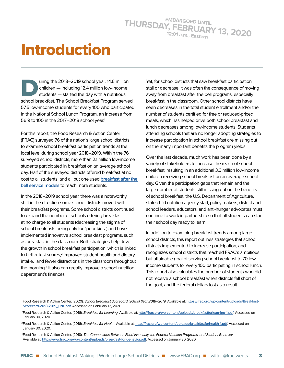# Introduction

uring the 2018–2019 school year, 14.6 million children — including 12.4 million low-income students — started the day with a nutritious school breakfast. The School Breakfast Program served 57.5 low-income students for every 100 who participated in the National School Lunch Program, an increase from 56.9 to 100 in the 2017-2018 school year.<sup>1</sup>

For this report, the Food Research & Action Center (FRAC) surveyed 76 of the nation's large school districts to examine school breakfast participation trends at the local level during school year 2018–2019. Within the 76 surveyed school districts, more than 2.1 million low-income students participated in breakfast on an average school day. Half of the surveyed districts offered breakfast at no cost to all students, and all but one used **[breakfast after the](https://frac.org/wp-content/uploads/how_it_works_bic_fact_sheet.pdf)  [bell service models](https://frac.org/wp-content/uploads/how_it_works_bic_fact_sheet.pdf)** to reach more students.

In the 2018–2019 school year, there was a noteworthy shift in the direction some school districts moved with their breakfast programs. Some school districts continued to expand the number of schools offering breakfast at no charge to all students (decreasing the stigma of school breakfasts being only for "poor kids") and have implemented innovative school breakfast programs, such as breakfast in the classroom. Both strategies help drive the growth in school breakfast participation, which is linked to better test scores,<sup>2</sup> improved student health and dietary intake, $3$  and fewer distractions in the classroom throughout the morning.<sup>4</sup> It also can greatly improve a school nutrition department's finances.

Yet, for school districts that saw breakfast participation stall or decrease, it was often the consequence of moving away from breakfast after the bell programs, especially breakfast in the classroom. Other school districts have seen decreases in the total student enrollment and/or the number of students certified for free or reduced-priced meals, which has helped drive both school breakfast and lunch decreases among low-income students. Students attending schools that are no longer adopting strategies to increase participation in school breakfast are missing out on the many important benefits the program yields.

Over the last decade, much work has been done by a variety of stakeholders to increase the reach of school breakfast, resulting in an additional 3.6 million low-income children receiving school breakfast on an average school day. Given the participation gaps that remain and the large number of students still missing out on the benefits of school breakfast, the U.S. Department of Agriculture, state child nutrition agency staff, policy makers, district and school leaders, educators, and anti-hunger advocates must continue to work in partnership so that all students can start their school day ready to learn.

In addition to examining breakfast trends among large school districts, this report outlines strategies that school districts implemented to increase participation, and recognizes school districts that reached FRAC's ambitious but attainable goal of serving school breakfast to 70 lowincome students for every 100 participating in school lunch. This report also calculates the number of students who did not receive a school breakfast when districts fell short of the goal, and the federal dollars lost as a result.

4Food Research & Action Center. (2018). The Connections Between Food Insecurity, the Federal Nutrition Programs, and Student Behavior. Available at: **<http://www.frac.org/wp-content/uploads/breakfast-for-behavior.pdf>**. Accessed on January 30, 2020.

<sup>1</sup> Food Research & Action Center. (2020). School Breakfast Scorecard, School Year 2018–2019. Available at: **[https://frac.org/wp-content/uploads/Breakfast-](https://frac.org/wp-content/uploads/Breakfast-Scorecard-2018-2019_FNL.pdf)[Scorecard-2018-2019\\_FNL.pdf](https://frac.org/wp-content/uploads/Breakfast-Scorecard-2018-2019_FNL.pdf)**. Accessed on February 12, 2020.

<sup>2</sup>Food Research & Action Center. (2016). Breakfast for Learning. Available at: **<http://frac.org/wp-content/uploads/breakfastforlearning-1.pdf>**. Accessed on January 30, 2020.

<sup>3</sup>Food Research & Action Center. (2016). Breakfast for Health. Available at: **<http://frac.org/wp-content/uploads/breakfastforhealth-1.pdf>**. Accessed on January 30, 2020.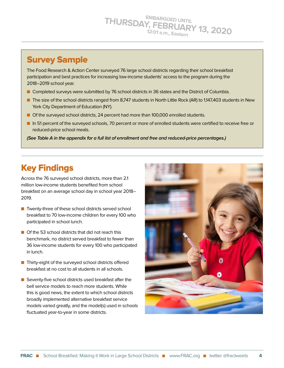## Survey Sample

The Food Research & Action Center surveyed 76 large school districts regarding their school breakfast participation and best practices for increasing low-income students' access to the program during the 2018–2019 school year.

- **n** Completed surveys were submitted by 76 school districts in 36 states and the District of Columbia.
- n The size of the school districts ranged from 8,747 students in North Little Rock (AR) to 1,147,403 students in New York City Department of Education (NY).
- **n** Of the surveyed school districts, 24 percent had more than 100,000 enrolled students.
- n In 51 percent of the surveyed schools, 70 percent or more of enrolled students were certified to receive free or reduced-price school meals.

**(See Table A in the appendix for a full list of enrollment and free and reduced-price percentages.)**

## Key Findings

Across the 76 surveyed school districts, more than 2.1 million low-income students benefited from school breakfast on an average school day in school year 2018– 2019.

- $\blacksquare$  Twenty-three of these school districts served school breakfast to 70 low-income children for every 100 who participated in school lunch.
- $\Box$  Of the 53 school districts that did not reach this benchmark, no district served breakfast to fewer than 36 low-income students for every 100 who participated in lunch.
- $\blacksquare$  Thirty-eight of the surveyed school districts offered breakfast at no cost to all students in all schools.
- $\blacksquare$  Seventy-five school districts used breakfast after the bell service models to reach more students. While this is good news, the extent to which school districts broadly implemented alternative breakfast service models varied greatly, and the model(s) used in schools fluctuated year-to-year in some districts.

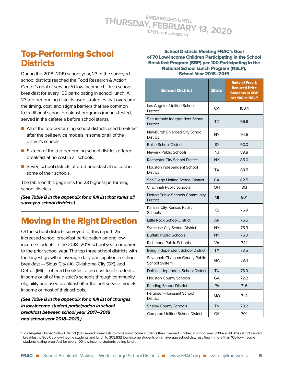## Top-Performing School **Districts**

During the 2018–2019 school year, 23 of the surveyed school districts reached the Food Research & Action Center's goal of serving 70 low-income children school breakfast for every 100 participating in school lunch. All 23 top-performing districts used strategies that overcame the timing, cost, and stigma barriers that are common to traditional school breakfast programs (means-tested, served in the cafeteria before school starts).

- $\blacksquare$  All of the top-performing school districts used breakfast after the bell service models in some or all of the district's schools.
- $\blacksquare$  Sixteen of the top-performing school districts offered breakfast at no cost in all schools.
- Seven school districts offered breakfast at no cost in some of their schools.

The table on this page lists the 23 highest-performing school districts.

**(See Table B in the appendix for a full list that ranks all surveyed school districts.)**

## Moving in the Right Direction

Of the school districts surveyed for this report, 25 increased school breakfast participation among lowincome students in the 2018–2019 school year compared to the prior school year. The top three school districts with the largest growth in average daily participation in school breakfast — Sioux City (IA), Oklahoma City (OK), and Detroit (MI) — offered breakfast at no cost to all students in some or all of the district's schools through community eligibility and used breakfast after the bell service models in some or most of their schools.

**(See Table B in the appendix for a full list of changes in low-income student participation in school breakfast between school year 2017–2018 and school year 2018–2019.)**

School Districts Meeting FRAC's Goal of 70 Low-Income Children Participating in the School Breakfast Program (SBP) per 100 Participating in the National School Lunch Program (NSLP), School Year 2018–2019

| <b>School District</b>                                 | <b>State</b> | <b>Ratio of Free &amp;</b><br><b>Reduced-Price</b><br><b>Students in SBP</b><br>per 100 in NSLP |
|--------------------------------------------------------|--------------|-------------------------------------------------------------------------------------------------|
| Los Angeles Unified School<br>District <sup>5</sup>    | CA           | 100.4                                                                                           |
| San Antonio Independent School<br><b>District</b>      | TX           | 96.9                                                                                            |
| Newburgh Enlarged City School<br><b>District</b>       | <b>NY</b>    | 94.5                                                                                            |
| <b>Boise School District</b>                           | ID           | 90.0                                                                                            |
| <b>Newark Public Schools</b>                           | NJ           | 89.8                                                                                            |
| Rochester City School District                         | <b>NY</b>    | 85.0                                                                                            |
| Houston Independent School<br><b>District</b>          | ТX           | 83.5                                                                                            |
| San Diego Unified School District                      | CA           | 82.5                                                                                            |
| Cincinnati Public Schools                              | OН           | 81.1                                                                                            |
| Detroit Public Schools Community<br><b>District</b>    | MI           | 80.1                                                                                            |
| Kansas City, Kansas Public<br>Schools                  | ΚS           | 76.9                                                                                            |
| <b>Little Rock School District</b>                     | AR           | 75.5                                                                                            |
| <b>Syracuse City School District</b>                   | <b>NY</b>    | 75.3                                                                                            |
| <b>Buffalo Public Schools</b>                          | <b>NY</b>    | 75.0                                                                                            |
| <b>Richmond Public Schools</b>                         | VA           | 74.1                                                                                            |
| Irving Independent School District                     | <b>TX</b>    | 73.5                                                                                            |
| Savannah-Chatham County Public<br><b>School System</b> | GΑ           | 73.4                                                                                            |
| Dallas Independent School District                     | <b>TX</b>    | 73.0                                                                                            |
| <b>Houston County Schools</b>                          | GΑ           | 72.2                                                                                            |
| <b>Reading School District</b>                         | <b>PA</b>    | 71.6                                                                                            |
| Ferguson-Florissant School<br><b>District</b>          | МO           | 71.4                                                                                            |
| <b>Shelby County Schools</b>                           | <b>TN</b>    | 70.2                                                                                            |
| <b>Compton Unified School District</b>                 | CA           | 70.1                                                                                            |

5 Los Angeles Unified School District (CA) served breakfasts to more low-income students than it served lunches in school year 2018–2019. The district served breakfast to 305,050 low-income students and lunch to 303,832 low-income students on an average school day, resulting in more than 100 low-income students eating breakfast for every 100 low-income students eating lunch.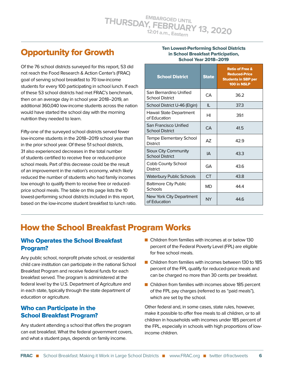## Opportunity for Growth

Of the 76 school districts surveyed for this report, 53 did not reach the Food Research & Action Center's (FRAC) goal of serving school breakfast to 70 low-income students for every 100 participating in school lunch. If each of these 53 school districts had met FRAC's benchmark, then on an average day in school year 2018–2019, an additional 360,040 low-income students across the nation would have started the school day with the morning nutrition they needed to learn.

Fifty-one of the surveyed school districts served fewer low-income students in the 2018–2019 school year than in the prior school year. Of these 51 school districts, 31 also experienced decreases in the total number of students certified to receive free or reduced-price school meals. Part of this decrease could be the result of an improvement in the nation's economy, which likely reduced the number of students who had family incomes low enough to qualify them to receive free or reducedprice school meals. The table on this page lists the 10 lowest-performing school districts included in this report, based on the low-income student breakfast to lunch ratio.

#### Ten Lowest-Performing School Districts in School Breakfast Participation, School Year 2018–2019

| <b>School District</b>                           | <b>State</b> | <b>Ratio of Free &amp;</b><br><b>Reduced-Price</b><br><b>Students in SBP per</b><br>100 in NSLP |
|--------------------------------------------------|--------------|-------------------------------------------------------------------------------------------------|
| San Bernardino Unified<br><b>School District</b> | CА           | 36.2                                                                                            |
| School District U-46 (Elgin)                     | IL           | 37.3                                                                                            |
| Hawaii State Department<br>of Education          | HI           | 39.1                                                                                            |
| San Francisco Unified<br><b>School District</b>  | CA           | 41.5                                                                                            |
| Tempe Elementary School<br><b>District</b>       | AZ           | 42.9                                                                                            |
| Sioux City Community<br><b>School District</b>   | IΑ           | 43.3                                                                                            |
| Cobb County School<br><b>District</b>            | <b>GA</b>    | 43.6                                                                                            |
| <b>Waterbury Public Schools</b>                  | CT.          | 43.8                                                                                            |
| <b>Baltimore City Public</b><br>Schools          | MD           | 44.4                                                                                            |
| New York City Department<br>of Education         | <b>NY</b>    | 44.6                                                                                            |

## How the School Breakfast Program Works

#### Who Operates the School Breakfast Program?

Any public school, nonprofit private school, or residential child care institution can participate in the national School Breakfast Program and receive federal funds for each breakfast served. The program is administered at the federal level by the U.S. Department of Agriculture and in each state, typically through the state department of education or agriculture.

#### Who can Participate in the School Breakfast Program?

Any student attending a school that offers the program can eat breakfast. What the federal government covers, and what a student pays, depends on family income.

- $\blacksquare$  Children from families with incomes at or below 130 percent of the Federal Poverty Level (FPL) are eligible for free school meals.
- $\blacksquare$  Children from families with incomes between 130 to 185 percent of the FPL qualify for reduced-price meals and can be charged no more than 30 cents per breakfast.
- $\blacksquare$  Children from families with incomes above 185 percent of the FPL pay charges (referred to as "paid meals"), which are set by the school.

Other federal and, in some cases, state rules, however, make it possible to offer free meals to all children, or to all children in households with incomes under 185 percent of the FPL, especially in schools with high proportions of lowincome children.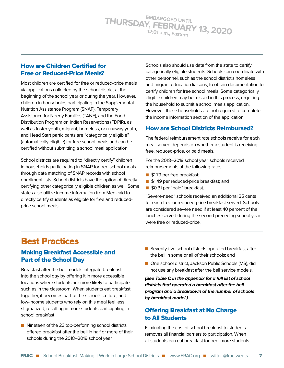#### How are Children Certified for Free or Reduced-Price Meals?

Most children are certified for free or reduced-price meals via applications collected by the school district at the beginning of the school year or during the year. However, children in households participating in the Supplemental Nutrition Assistance Program (SNAP), Temporary Assistance for Needy Families (TANF), and the Food Distribution Program on Indian Reservations (FDPIR), as well as foster youth, migrant, homeless, or runaway youth, and Head Start participants are "categorically eligible" (automatically eligible) for free school meals and can be certified without submitting a school meal application.

School districts are required to "directly certify" children in households participating in SNAP for free school meals through data matching of SNAP records with school enrollment lists. School districts have the option of directly certifying other categorically eligible children as well. Some states also utilize income information from Medicaid to directly certify students as eligible for free and reducedprice school meals.

Schools also should use data from the state to certify categorically eligible students. Schools can coordinate with other personnel, such as the school district's homeless and migrant education liaisons, to obtain documentation to certify children for free school meals. Some categorically eligible children may be missed in this process, requiring the household to submit a school meals application. However, these households are not required to complete the income information section of the application.

#### How are School Districts Reimbursed?

The federal reimbursement rate schools receive for each meal served depends on whether a student is receiving free, reduced-price, or paid meals.

For the 2018–2019 school year, schools received reimbursements at the following rates:

- **n** \$1.79 per free breakfast;
- **1** \$1.49 per reduced-price breakfast; and
- \$0.31 per "paid" breakfast.

"Severe-need" schools received an additional 35 cents for each free or reduced-price breakfast served. Schools are considered severe need if at least 40 percent of the lunches served during the second preceding school year were free or reduced-price.

## Best Practices

#### Making Breakfast Accessible and Part of the School Day

Breakfast after the bell models integrate breakfast into the school day by offering it in more accessible locations where students are more likely to participate, such as in the classroom. When students eat breakfast together, it becomes part of the school's culture, and low-income students who rely on this meal feel less stigmatized, resulting in more students participating in school breakfast.

 $\blacksquare$  Nineteen of the 23 top-performing school districts offered breakfast after the bell in half or more of their schools during the 2018–2019 school year.

- $\blacksquare$  Seventy-five school districts operated breakfast after the bell in some or all of their schools; and
- One school district, Jackson Public Schools (MS), did not use any breakfast after the bell service models.

**(See Table C in the appendix for a full list of school districts that operated a breakfast after the bell program and a breakdown of the number of schools by breakfast model.)**

#### Offering Breakfast at No Charge to All Students

Eliminating the cost of school breakfast to students removes all financial barriers to participation. When all students can eat breakfast for free, more students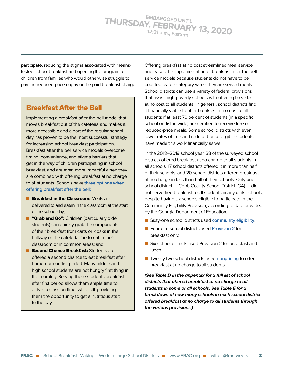participate, reducing the stigma associated with meanstested school breakfast and opening the program to children from families who would otherwise struggle to pay the reduced-price copay or the paid breakfast charge.

#### Breakfast After the Bell

Implementing a breakfast after the bell model that moves breakfast out of the cafeteria and makes it more accessible and a part of the regular school day has proven to be the most successful strategy for increasing school breakfast participation. Breakfast after the bell service models overcome timing, convenience, and stigma barriers that get in the way of children participating in school breakfast, and are even more impactful when they are combined with offering breakfast at no charge to all students. Schools have **[three options when](http://frac.org/wp-content/uploads/how_it_works_bic_fact_sheet.pdf)  [offering breakfast after the bell:](http://frac.org/wp-content/uploads/how_it_works_bic_fact_sheet.pdf)**

- **n Breakfast in the Classroom:** Meals are delivered to and eaten in the classroom at the start of the school day;
- **n** "Grab and Go": Children (particularly older students) can quickly grab the components of their breakfast from carts or kiosks in the hallway or the cafeteria line to eat in their classroom or in common areas; and
- **n Second Chance Breakfast:** Students are offered a second chance to eat breakfast after homeroom or first period. Many middle and high school students are not hungry first thing in the morning. Serving these students breakfast after first period allows them ample time to arrive to class on time, while still providing them the opportunity to get a nutritious start to the day.

Offering breakfast at no cost streamlines meal service and eases the implementation of breakfast after the bell service models because students do not have to be counted by fee category when they are served meals. School districts can use a variety of federal provisions that assist high-poverty schools with offering breakfast at no cost to all students. In general, school districts find it financially viable to offer breakfast at no cost to all students if at least 70 percent of students (in a specific school or districtwide) are certified to receive free or reduced-price meals. Some school districts with even lower rates of free and reduced-price eligible students have made this work financially as well.

In the 2018–2019 school year, 38 of the surveyed school districts offered breakfast at no charge to all students in all schools, 17 school districts offered it in more than half of their schools, and 20 school districts offered breakfast at no charge in less than half of their schools. Only one school district — Cobb County School District (GA) — did not serve free breakfast to all students in any of its schools, despite having six schools eligible to participate in the Community Eligibility Provision, according to data provided by the Georgia Department of Education.

- Sixty-one school districts used **[community eligibility](https://www.frac.org/community-eligibility).**
- Fourteen school districts used **[Provision 2](https://www.frac.org/wp-content/uploads/provision2.pdf)** for breakfast only.
- Six school districts used Provision 2 for breakfast and lunch.
- Twenty-two school districts used **[nonpricing](http://frac.org/wp-content/uploads/frac-facts-offering-free-breakfast-to-all-students.pdf)** to offer breakfast at no charge to all students.

**(See Table D in the appendix for a full list of school districts that offered breakfast at no charge to all students in some or all schools. See Table E for a breakdown of how many schools in each school district offered breakfast at no charge to all students through the various provisions.)**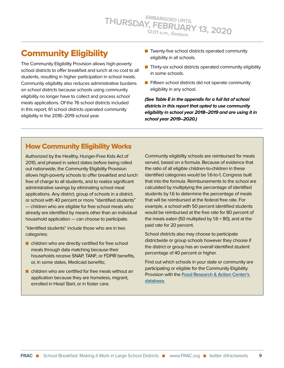## Community Eligibility

The Community Eligibility Provision allows high-poverty school districts to offer breakfast and lunch at no cost to all students, resulting in higher participation in school meals. Community eligibility also reduces administrative burdens on school districts because schools using community eligibility no longer have to collect and process school meals applications. Of the 76 school districts included in this report, 61 school districts operated community eligibility in the 2018–2019 school year.

- $\blacksquare$  Twenty-five school districts operated community eligibility in all schools.
- $\blacksquare$  Thirty-six school districts operated community eligibility in some schools.
- $\blacksquare$  Fifteen school districts did not operate community eligibility in any school.

**(See Table E in the appendix for a full list of school districts in this report that opted to use community eligibility in school year 2018–2019 and are using it in school year 2019–2020.)**

#### How Community Eligibility Works

Authorized by the Healthy, Hunger-Free Kids Act of 2010, and phased in select states before being rolled out nationwide, the Community Eligibility Provision allows high-poverty schools to offer breakfast and lunch free of charge to all students, and to realize significant administrative savings by eliminating school meal applications. Any district, group of schools in a district, or school with 40 percent or more "identified students" — children who are eligible for free school meals who already are identified by means other than an individual household application — can choose to participate.

"Identified students" include those who are in two categories:

- $\blacksquare$  children who are directly certified for free school meals through data matching because their households receive SNAP, TANF, or FDPIR benefits, or, in some states, Medicaid benefits;
- $\blacksquare$  children who are certified for free meals without an application because they are homeless, migrant, enrolled in Head Start, or in foster care.

Community eligibility schools are reimbursed for meals served, based on a formula. Because of evidence that the ratio of all eligible children-to-children in these identified categories would be 1.6-to-1, Congress built that into the formula. Reimbursements to the school are calculated by multiplying the percentage of identified students by 1.6 to determine the percentage of meals that will be reimbursed at the federal free rate. For example, a school with 50 percent identified students would be reimbursed at the free rate for 80 percent of the meals eaten (50 multiplied by 1.6 = 80), and at the paid rate for 20 percent.

School districts also may choose to participate districtwide or group schools however they choose if the district or group has an overall identified student percentage of 40 percent or higher.

Find out which schools in your state or community are participating or eligible for the Community Eligibility Provision with the **[Food Research & Action Center's](http://frac.org/community-eligibility-database/)  [database](http://frac.org/community-eligibility-database/).**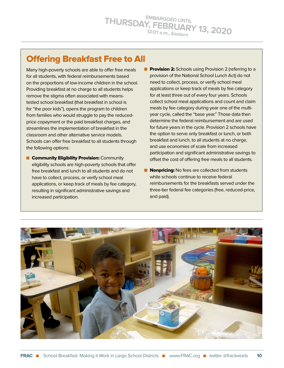## Offering Breakfast Free to All

Many high-poverty schools are able to offer free meals for all students, with federal reimbursements based on the proportions of low-income children in the school. Providing breakfast at no charge to all students helps remove the stigma often associated with meanstested school breakfast (that breakfast in school is for "the poor kids"), opens the program to children from families who would struggle to pay the reducedprice copayment or the paid breakfast charges, and streamlines the implementation of breakfast in the classroom and other alternative service models. Schools can offer free breakfast to all students through the following options:

- **n** Community Eligibility Provision: Community eligibility schools are high-poverty schools that offer free breakfast and lunch to all students and do not have to collect, process, or verify school meal applications, or keep track of meals by fee category, resulting in significant administrative savings and increased participation.
- **Provision 2:** Schools using Provision 2 (referring to a provision of the National School Lunch Act) do not need to collect, process, or verify school meal applications or keep track of meals by fee category for at least three out of every four years. Schools collect school meal applications and count and claim meals by fee category during year one of the multiyear cycle, called the "base year." Those data then determine the federal reimbursement and are used for future years in the cycle. Provision 2 schools have the option to serve only breakfast or lunch, or both breakfast and lunch, to all students at no charge, and use economies of scale from increased participation and significant administrative savings to offset the cost of offering free meals to all students.
- **Nonpricing:** No fees are collected from students while schools continue to receive federal reimbursements for the breakfasts served under the three-tier federal fee categories (free, reduced-price, and paid).

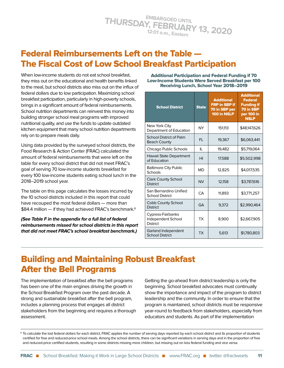## Federal Reimbursements Left on the Table — The Fiscal Cost of Low School Breakfast Participation

When low-income students do not eat school breakfast, they miss out on the educational and health benefits linked to the meal, but school districts also miss out on the influx of federal dollars due to low participation. Maximizing school breakfast participation, particularly in high-poverty schools, brings in a significant amount of federal reimbursements. School nutrition departments can reinvest this money into building stronger school meal programs with improved nutritional quality, and use the funds to update outdated kitchen equipment that many school nutrition departments rely on to prepare meals daily.

Using data provided by the surveyed school districts, the Food Research & Action Center (FRAC) calculated the amount of federal reimbursements that were left on the table for every school district that did not meet FRAC's goal of serving 70 low-income students breakfast for every 100 low-income students eating school lunch in the 2018–2019 school year.

The table on this page calculates the losses incurred by the 10 school districts included in this report that could have recouped the most federal dollars — more than \$84.4 million - if they had achieved FRAC's benchmark.<sup>6</sup>

**(See Table F in the appendix for a full list of federal reimbursements missed for school districts in this report that did not meet FRAC's school breakfast benchmark.)**

Additional Participation and Federal Funding if 70 Low-Income Students Were Served Breakfast per 100 Receiving Lunch, School Year 2018–2019

| <b>School District</b>                                                   | <b>State</b> | <b>Additional</b><br><b>FRP in SBP if</b><br>70 in SBP per<br>100 in NSLP | <b>Additional</b><br><b>Federal</b><br><b>Funding if</b><br>70 in SBP<br>per 100 in<br><b>NSLP</b> |
|--------------------------------------------------------------------------|--------------|---------------------------------------------------------------------------|----------------------------------------------------------------------------------------------------|
| New York City<br>Department of Education                                 | NY           | 151.113                                                                   | \$48,147,626                                                                                       |
| School District of Palm<br><b>Beach County</b>                           | FL.          | 19,367                                                                    | \$6,063,441                                                                                        |
| Chicago Public Schools                                                   | Ш            | 19,482                                                                    | \$5.719.064                                                                                        |
| Hawaii State Department<br>of Education                                  | HI           | 17,588                                                                    | \$5,502,998                                                                                        |
| <b>Baltimore City Public</b><br>Schools                                  | MD           | 12,825                                                                    | \$4,017,535                                                                                        |
| <b>Clark County School</b><br><b>District</b>                            | <b>NV</b>    | 12,158                                                                    | \$3,787,616                                                                                        |
| San Bernardino Unified<br><b>School District</b>                         | CA           | 11,893                                                                    | \$3,771,257                                                                                        |
| <b>Cobb County School</b><br><b>District</b>                             | GA           | 9,372                                                                     | \$2,990,464                                                                                        |
| <b>Cypress-Fairbanks</b><br><b>Independent School</b><br><b>District</b> | ТX           | 8,900                                                                     | \$2,667,905                                                                                        |
| Garland Independent<br><b>School District</b>                            | <b>TX</b>    | 5,613                                                                     | \$1,780,803                                                                                        |

## Building and Maintaining Robust Breakfast After the Bell Programs

The implementation of breakfast after the bell programs has been one of the main engines driving the growth in the School Breakfast Program over the past decade. A strong and sustainable breakfast after the bell program, includes a planning process that engages all district stakeholders from the beginning and requires a thorough assessment.

Getting the go-ahead from district leadership is only the beginning. School breakfast advocates must continually show the importance and impact of the program to district leadership and the community. In order to ensure that the program is maintained, school districts must be responsive year-round to feedback from stakeholders, especially from educators and students. As part of the implementation

<sup>6</sup> To calculate the lost federal dollars for each district, FRAC applies the number of serving days reported by each school district and its proportion of students certified for free and reduced-price school meals. Among the school districts, there can be significant variations in serving days and in the proportion of free and reduced-price certified students, resulting in some districts missing more children, but missing out on less federal funding and vice versa.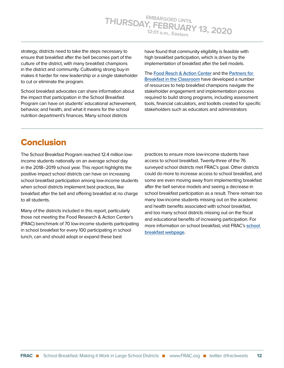strategy, districts need to take the steps necessary to ensure that breakfast after the bell becomes part of the culture of the district, with many breakfast champions in the district and community. Cultivating strong buy-in makes it harder for new leadership or a single stakeholder to cut or eliminate the program.

School breakfast advocates can share information about the impact that participation in the School Breakfast Program can have on students' educational achievement, behavior, and health, and what it means for the school nutrition department's finances. Many school districts

have found that community eligibility is feasible with high breakfast participation, which is driven by the implementation of breakfast after the bell models.

The **[Food Resch & Action Center](https://frac.org/programs/school-breakfast-program)** and the **[Partners for](https://breakfastintheclassroom.org/)  [Breakfast in the Classroom](https://breakfastintheclassroom.org/)** have developed a number of resources to help breakfast champions navigate the stakeholder engagement and implementation process required to build strong programs, including assessment tools, financial calculators, and toolkits created for specific stakeholders such as educators and administrators

## **Conclusion**

The School Breakfast Program reached 12.4 million lowincome students nationally on an average school day in the 2018–2019 school year. This report highlights the positive impact school districts can have on increasing school breakfast participation among low-income students when school districts implement best practices, like breakfast after the bell and offering breakfast at no charge to all students.

Many of the districts included in this report, particularly those not meeting the Food Research & Action Center's (FRAC) benchmark of 70 low-income students participating in school breakfast for every 100 participating in school lunch, can and should adopt or expand these best

practices to ensure more low-income students have access to school breakfast. Twenty-three of the 76 surveyed school districts met FRAC's goal. Other districts could do more to increase access to school breakfast, and some are even moving away from implementing breakfast after the bell service models and seeing a decrease in school breakfast participation as a result. There remain too many low-income students missing out on the academic and health benefits associated with school breakfast, and too many school districts missing out on the fiscal and educational benefits of increasing participation. For more information on school breakfast, visit FRAC's **[school](https://frac.org/programs/school-breakfast-program)  [breakfast webpage](https://frac.org/programs/school-breakfast-program)**.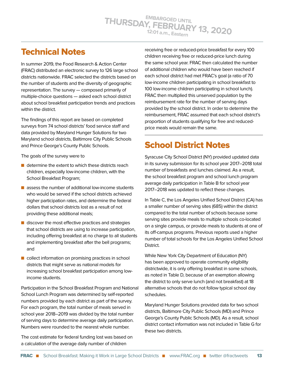## Technical Notes

In summer 2019, the Food Research & Action Center (FRAC) distributed an electronic survey to 126 large school districts nationwide. FRAC selected the districts based on the number of students and the diversity of geographic representation. The survey — composed primarily of multiple-choice questions — asked each school district about school breakfast participation trends and practices within the district.

The findings of this report are based on completed surveys from 74 school districts' food service staff and data provided by Maryland Hunger Solutions for two Maryland school districts, Baltimore City Public Schools and Prince George's County Public Schools.

The goals of the survey were to

- $\blacksquare$  determine the extent to which these districts reach children, especially low-income children, with the School Breakfast Program;
- $\blacksquare$  assess the number of additional low-income students who would be served if the school districts achieved higher participation rates, and determine the federal dollars that school districts lost as a result of not providing these additional meals;
- $\blacksquare$  discover the most effective practices and strategies that school districts are using to increase participation, including offering breakfast at no charge to all students and implementing breakfast after the bell programs; and
- $\blacksquare$  collect information on promising practices in school districts that might serve as national models for increasing school breakfast participation among lowincome students.

Participation in the School Breakfast Program and National School Lunch Program was determined by self-reported numbers provided by each district as part of the survey. For each program, the total number of meals served in school year 2018–2019 was divided by the total number of serving days to determine average daily participation. Numbers were rounded to the nearest whole number.

The cost estimate for federal funding lost was based on a calculation of the average daily number of children

receiving free or reduced-price breakfast for every 100 children receiving free or reduced-price lunch during the same school year. FRAC then calculated the number of additional children who would have been reached if each school district had met FRAC's goal (a ratio of 70 low-income children participating in school breakfast to 100 low-income children participating in school lunch). FRAC then multiplied this unserved population by the reimbursement rate for the number of serving days provided by the school district. In order to determine the reimbursement, FRAC assumed that each school district's proportion of students qualifying for free and reducedprice meals would remain the same.

## School District Notes

Syracuse City School District (NY) provided updated data in its survey submission for its school year 2017–2018 total number of breakfasts and lunches claimed. As a result, the school breakfast program and school lunch program average daily participation in Table B for school year 2017–2018 was updated to reflect these changes.

In Table C, the Los Angeles Unified School District (CA) has a smaller number of serving sites (685) within the district compared to the total number of schools because some serving sites provide meals to multiple schools co-located on a single campus, or provide meals to students at one of its off-campus programs. Previous reports used a higher number of total schools for the Los Angeles Unified School District.

While New York City Department of Education (NY) has been approved to operate community eligibility districtwide, it is only offering breakfast in some schools, as noted in Table D, because of an exemption allowing the district to only serve lunch (and not breakfast) at 18 alternative schools that do not follow typical school day schedules.

Maryland Hunger Solutions provided data for two school districts, Baltimore City Public Schools (MD) and Prince George's County Public Schools (MD). As a result, school district contact information was not included in Table G for these two districts.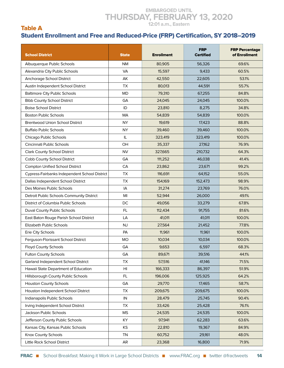#### Table A Student Enrollment and Free and Reduced-Price (FRP) Certification, SY 2018–2019

| <b>School District</b>                        | <b>State</b> | <b>Enrollment</b> | <b>FRP</b><br><b>Certified</b> | <b>FRP Percentage</b><br>of Enrollment |
|-----------------------------------------------|--------------|-------------------|--------------------------------|----------------------------------------|
| Albuquerque Public Schools                    | <b>NM</b>    | 80,905            | 56,326                         | 69.6%                                  |
| Alexandria City Public Schools                | <b>VA</b>    | 15,597            | 9,433                          | 60.5%                                  |
| Anchorage School District                     | AK           | 42,550            | 22,605                         | 53.1%                                  |
| Austin Independent School District            | <b>TX</b>    | 80,013            | 44,591                         | 55.7%                                  |
| <b>Baltimore City Public Schools</b>          | <b>MD</b>    | 79,310            | 67,255                         | 84.8%                                  |
| <b>Bibb County School District</b>            | GA           | 24,045            | 24,045                         | 100.0%                                 |
| <b>Boise School District</b>                  | ID           | 23,810            | 8,275                          | 34.8%                                  |
| <b>Boston Public Schools</b>                  | MA           | 54,839            | 54,839                         | 100.0%                                 |
| <b>Brentwood Union School District</b>        | <b>NY</b>    | 19,619            | 17,423                         | 88.8%                                  |
| <b>Buffalo Public Schools</b>                 | <b>NY</b>    | 39,460            | 39,460                         | 100.0%                                 |
| Chicago Public Schools                        | IL           | 323,419           | 323,419                        | 100.0%                                 |
| Cincinnati Public Schools                     | OH           | 35,337            | 27,162                         | 76.9%                                  |
| <b>Clark County School District</b>           | <b>NV</b>    | 327,665           | 210,732                        | 64.3%                                  |
| Cobb County School District                   | GA           | 111,252           | 46,038                         | 41.4%                                  |
| <b>Compton Unified School District</b>        | <b>CA</b>    | 23,862            | 23,671                         | 99.2%                                  |
| Cypress-Fairbanks Independent School District | <b>TX</b>    | 116,691           | 64,152                         | 55.0%                                  |
| Dallas Independent School District            | <b>TX</b>    | 154,169           | 152,473                        | 98.9%                                  |
| Des Moines Public Schools                     | IA           | 31,274            | 23,769                         | 76.0%                                  |
| Detroit Public Schools Community District     | MI           | 52,944            | 26,000                         | 49.1%                                  |
| District of Columbia Public Schools           | DC           | 49,056            | 33,279                         | 67.8%                                  |
| Duval County Public Schools                   | FL           | 112,434           | 91,755                         | 81.6%                                  |
| East Baton Rouge Parish School District       | LA           | 41,011            | 41,011                         | 100.0%                                 |
| Elizabeth Public Schools                      | <b>NJ</b>    | 27,564            | 21,452                         | 77.8%                                  |
| Erie City Schools                             | PA           | 11,961            | 11,961                         | 100.0%                                 |
| Ferguson-Florissant School District           | <b>MO</b>    | 10,034            | 10,034                         | 100.0%                                 |
| <b>Floyd County Schools</b>                   | GA           | 9,653             | 6,597                          | 68.3%                                  |
| Fulton County Schools                         | GA           | 89,671            | 39,516                         | 44.1%                                  |
| Garland Independent School District           | TX           | 57,516            | 41,146                         | 71.5%                                  |
| Hawaii State Department of Education          | HI           | 166,333           | 86,397                         | 51.9%                                  |
| Hillsborough County Public Schools            | FL.          | 196,006           | 125,925                        | 64.2%                                  |
| <b>Houston County Schools</b>                 | GA           | 29,770            | 17,465                         | 58.7%                                  |
| Houston Independent School District           | <b>TX</b>    | 209,675           | 209,675                        | 100.0%                                 |
| Indianapolis Public Schools                   | IN           | 28,479            | 25,745                         | 90.4%                                  |
| Irving Independent School District            | <b>TX</b>    | 33,426            | 25,428                         | 76.1%                                  |
| Jackson Public Schools                        | <b>MS</b>    | 24,535            | 24,535                         | 100.0%                                 |
| Jefferson County Public Schools               | KY           | 97,941            | 62,283                         | 63.6%                                  |
| Kansas City, Kansas Public Schools            | KS           | 22,810            | 19,367                         | 84.9%                                  |
| Knox County Schools                           | <b>TN</b>    | 60,752            | 29,161                         | 48.0%                                  |
| Little Rock School District                   | AR           | 23,368            | 16,800                         | 71.9%                                  |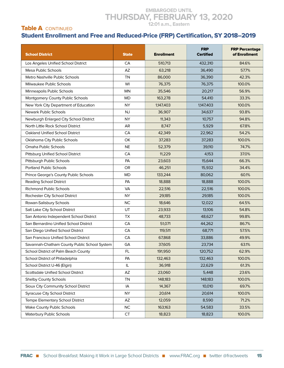#### **EMBARGOED UNTIL THURSDAY, FEBRUARY 13, 2020**

#### **12:01 a.m., Eastern**

#### Table A CONTINUED

#### Student Enrollment and Free and Reduced-Price (FRP) Certification, SY 2018–2019

| <b>School District</b>                       | <b>State</b> | <b>Enrollment</b> | <b>FRP</b><br><b>Certified</b> | <b>FRP Percentage</b><br>of Enrollment |
|----------------------------------------------|--------------|-------------------|--------------------------------|----------------------------------------|
| Los Angeles Unified School District          | CA           | 510,713           | 432,310                        | 84.6%                                  |
| <b>Mesa Public Schools</b>                   | AZ           | 63,218            | 36,490                         | 57.7%                                  |
| Metro Nashville Public Schools               | <b>TN</b>    | 86,000            | 36,390                         | 42.3%                                  |
| Milwaukee Public Schools                     | WI           | 76,375            | 76,375                         | 100.0%                                 |
| Minneapolis Public Schools                   | <b>MN</b>    | 35,546            | 20,217                         | 56.9%                                  |
| Montgomery County Public Schools             | <b>MD</b>    | 163,278           | 54,410                         | 33.3%                                  |
| New York City Department of Education        | <b>NY</b>    | 1,147,403         | 1,147,403                      | 100.0%                                 |
| Newark Public Schools                        | <b>NJ</b>    | 36,907            | 34,637                         | 93.8%                                  |
| Newburgh Enlarged City School District       | <b>NY</b>    | 11,343            | 10,757                         | 94.8%                                  |
| North Little Rock School District            | AR           | 8,747             | 5,929                          | 67.8%                                  |
| <b>Oakland Unified School District</b>       | CA           | 42,349            | 22,962                         | 54.2%                                  |
| Oklahoma City Public Schools                 | OK           | 37,283            | 37,283                         | 100.0%                                 |
| Omaha Public Schools                         | <b>NE</b>    | 52,379            | 39,110                         | 74.7%                                  |
| Pittsburg Unified School District            | CA           | 11,229            | 4,153                          | 37.0%                                  |
| Pittsburgh Public Schools                    | PA           | 23,603            | 15,644                         | 66.3%                                  |
| <b>Portland Public Schools</b>               | OR           | 46,251            | 15,932                         | 34.4%                                  |
| Prince George's County Public Schools        | <b>MD</b>    | 133,244           | 80.062                         | 60.1%                                  |
| <b>Reading School District</b>               | PA           | 18,888            | 18,888                         | 100.0%                                 |
| <b>Richmond Public Schools</b>               | <b>VA</b>    | 22,516            | 22,516                         | 100.0%                                 |
| Rochester City School District               | <b>NY</b>    | 29,185            | 29,185                         | 100.0%                                 |
| Rowan-Salisbury Schools                      | <b>NC</b>    | 18,646            | 12,022                         | 64.5%                                  |
| Salt Lake City School District               | UT           | 23,933            | 13,106                         | 54.8%                                  |
| San Antonio Independent School District      | <b>TX</b>    | 48,733            | 48,627                         | 99.8%                                  |
| San Bernardino Unified School District       | CA           | 51,071            | 44,262                         | 86.7%                                  |
| San Diego Unified School District            | CA           | 119,511           | 68,771                         | 57.5%                                  |
| San Francisco Unified School District        | CA           | 67,868            | 33,886                         | 49.9%                                  |
| Savannah-Chatham County Public School System | GA           | 37,605            | 23,734                         | 63.1%                                  |
| School District of Palm Beach County         | FL           | 191,950           | 120,752                        | 62.9%                                  |
| School District of Philadelphia              | PA           | 132,463           | 132,463                        | 100.0%                                 |
| School District U-46 (Elgin)                 | L            | 36,918            | 22,629                         | 61.3%                                  |
| Scottsdale Unified School District           | AZ           | 23,060            | 5,448                          | 23.6%                                  |
| Shelby County Schools                        | <b>TN</b>    | 148,183           | 148,183                        | 100.0%                                 |
| Sioux City Community School District         | IA           | 14,367            | 10,010                         | 69.7%                                  |
| <b>Syracuse City School District</b>         | NY.          | 20,614            | 20,614                         | 100.0%                                 |
| Tempe Elementary School District             | AZ           | 12,059            | 8,590                          | 71.2%                                  |
| Wake County Public Schools                   | NC           | 163,163           | 54,583                         | 33.5%                                  |
| Waterbury Public Schools                     | <b>CT</b>    | 18,823            | 18,823                         | 100.0%                                 |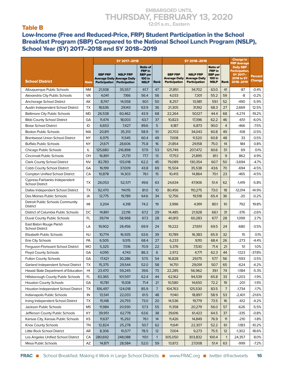#### Table B

Low-Income (Free and Reduced-Price, FRP) Student Participation in the School Breakfast Program (SBP) Compared to the National School Lunch Program (NSLP), School Year (SY) 2017–2018 and SY 2018–2019

|                                                         | SY 2017-2018 |                                 |                                                                        |                                                                             |              | SY 2018-2019                                                   |                                                                 |                                                                             | <b>Change in</b> |                                                                                                               |                          |
|---------------------------------------------------------|--------------|---------------------------------|------------------------------------------------------------------------|-----------------------------------------------------------------------------|--------------|----------------------------------------------------------------|-----------------------------------------------------------------|-----------------------------------------------------------------------------|------------------|---------------------------------------------------------------------------------------------------------------|--------------------------|
| <b>School District</b>                                  | <b>State</b> | <b>SBP FRP</b><br>Participation | <b>NSLP FRP</b><br><b>Average Daily Average Daily</b><br>Participation | <b>Ratio of</b><br>FRP in<br><b>SBP</b> per<br><b>100 in</b><br><b>NSLP</b> | Rank         | <b>SBP FRP</b><br><b>Average Daily</b><br><b>Participation</b> | <b>NSLP FRP</b><br><b>Average Daily</b><br><b>Participation</b> | <b>Ratio of</b><br>FRP in<br><b>SBP</b> per<br><b>100 in</b><br><b>NSLP</b> | Rank             | <b>FRP Average</b><br><b>Daily SBP</b><br><b>Participation,</b><br>SY 2017-<br><b>2018 to SY</b><br>2018-2019 | Percent<br><b>Change</b> |
| Albuquerque Public Schools                              | <b>NM</b>    | 21,938                          | 35,557                                                                 | 61.7                                                                        | 47           | 21,851                                                         | 34,702                                                          | 63.0                                                                        | 41               | -87                                                                                                           | $-0.4%$                  |
| Alexandria City Public Schools                          | <b>VA</b>    | 4,041                           | 7,166                                                                  | 56.4                                                                        | 56           | 4,033                                                          | 7,301                                                           | 55.2                                                                        | 59               | -8                                                                                                            | $-0.2%$                  |
| Anchorage School District                               | АK           | 8,747                           | 14,558                                                                 | 60.1                                                                        | 50           | 8,257                                                          | 13,981                                                          | 59.1                                                                        | 52               | -490                                                                                                          | $-5.9%$                  |
| Austin Independent School District                      | <b>TX</b>    | 18,636                          | 29,143                                                                 | 63.9                                                                        | 36           | 21,305                                                         | 31,192                                                          | 68.3                                                                        | 27               | 2,669                                                                                                         | 12.5%                    |
| <b>Baltimore City Public Schools</b>                    | MD           | 26,538                          | 60,462                                                                 | 43.9                                                                        | 68           | 22,264                                                         | 50,127                                                          | 44.4                                                                        | 68               | $-4,274$                                                                                                      | $-19.2%$                 |
| <b>Bibb County School District</b>                      | GA           | 11,474                          | 18,003                                                                 | 63.7                                                                        | 37           | 10,823                                                         | 17,396                                                          | 62.2                                                                        | 46               | $-651$                                                                                                        | $-6.0%$                  |
| <b>Boise School District</b>                            | ID           | 6,653                           | 7,427                                                                  | 89.6                                                                        | 5            | 6,187                                                          | 6,873                                                           | 90.0                                                                        | $\overline{4}$   | $-466$                                                                                                        | $-7.5%$                  |
| <b>Boston Public Schools</b>                            | МA           | 20,811                          | 35,313                                                                 | 58.9                                                                        | 51           | 20,703                                                         | 34,043                                                          | 60.8                                                                        | 49               | $-108$                                                                                                        | $-0.5%$                  |
| <b>Brentwood Union School District</b>                  | NY           | 6,975                           | 11,545                                                                 | 60.4                                                                        | 49           | 7,008                                                          | 11,520                                                          | 60.8                                                                        | 48               | 33                                                                                                            | 0.5%                     |
| <b>Buffalo Public Schools</b>                           | <b>NY</b>    | 21,671                          | 28,606                                                                 | 75.8                                                                        | 16           | 21,854                                                         | 29,158                                                          | 75.0                                                                        | 14               | 184                                                                                                           | 0.8%                     |
| Chicago Public Schools                                  | IL           | 125,680                         | 216,898                                                                | 57.9                                                                        | 53           | 125.749                                                        | 207,472                                                         | 60.6                                                                        | 51               | 69                                                                                                            | 0.1%                     |
| Cincinnati Public Schools                               | OН           | 16,891                          | 21,731                                                                 | 77.7                                                                        | 13           | 17,753                                                         | 21,895                                                          | 81.1                                                                        | 9                | 862                                                                                                           | 4.9%                     |
| <b>Clark County School District</b>                     | <b>NV</b>    | 82,783                          | 133,018                                                                | 62.2                                                                        | 45           | 79,089                                                         | 130,354                                                         | 60.7                                                                        | 50               | $-3,694$                                                                                                      | $-4.7%$                  |
| Cobb County School District                             | GA           | 16,199                          | 37,009                                                                 | 43.8                                                                        | 69           | 15,504                                                         | 35,538                                                          | 43.6                                                                        | 70               | $-694$                                                                                                        | $-4.5%$                  |
| <b>Compton Unified School District</b>                  | CA           | 10,878                          | 14,303                                                                 | 76.1                                                                        | 15           | 10,413                                                         | 14,864                                                          | 70.1                                                                        | 23               | $-465$                                                                                                        | $-4.5%$                  |
| Cypress-Fairbanks Independent<br><b>School District</b> | TX           | 26,053                          | 52,571                                                                 | 49.6                                                                        | 63           | 24,634                                                         | 47,906                                                          | 51.4                                                                        | 62               | $-1,419$                                                                                                      | $-5.8%$                  |
| Dallas Independent School District                      | <b>TX</b>    | 92,470                          | 114,115                                                                | 81.0                                                                        | 10           | 80,456                                                         | 110,275                                                         | 73.0                                                                        | 18               | $-12,014$                                                                                                     | $-14.9%$                 |
| Des Moines Public Schools                               | IA           | 12,775                          | 19,789                                                                 | 64.6                                                                        | 34           | 12,756                                                         | 19,518                                                          | 65.4                                                                        | 36               | $-20$                                                                                                         | $-0.2%$                  |
| Detroit Public Schools Community<br><b>District</b>     | MI           | 3,204                           | 4,318                                                                  | 74.2                                                                        | 19           | 3,996                                                          | 4,991                                                           | 80.1                                                                        | 10 <sup>°</sup>  | 792                                                                                                           | 19.8%                    |
| District of Columbia Public Schools                     | DC           | 14,861                          | 22,116                                                                 | 67.2                                                                        | 29           | 14,485                                                         | 21,928                                                          | 66.1                                                                        | 31               | $-376$                                                                                                        | $-2.6%$                  |
| Duval County Public Schools                             | FL.          | 39,714                          | 58,968                                                                 | 67.3                                                                        | 28           | 40,813                                                         | 60,283                                                          | 67.7                                                                        | 28               | 1,099                                                                                                         | 2.7%                     |
| East Baton Rouge Parish<br><b>School District</b>       | LA           | 19,902                          | 28,456                                                                 | 69.9                                                                        | 24           | 19,222                                                         | 27,651                                                          | 69.5                                                                        | 24               | -680                                                                                                          | $-3.5%$                  |
| Elizabeth Public Schools                                | <b>NJ</b>    | 10,774                          | 16,935                                                                 | 63.6                                                                        | 39           | 10,789                                                         | 16,383                                                          | 65.9                                                                        | 32               | 15                                                                                                            | 0.1%                     |
| Erie City Schools                                       | PA           | 6,505                           | 9,515                                                                  | 68.4                                                                        | 27           | 6,233                                                          | 9,110                                                           | 68.4                                                                        | 26               | $-273$                                                                                                        | $-4.4%$                  |
| Ferguson-Florissant School District                     | MO           | 5,325                           | 7,516                                                                  | 70.9                                                                        | 22           | 5,376                                                          | 7,530                                                           | 71.4                                                                        | 21               | 51                                                                                                            | 1.0%                     |
| <b>Floyd County Schools</b>                             | GA           | 4,095                           | 4,743                                                                  | 86.3                                                                        | 6            | 2,972                                                          | 4,771                                                           | 62.3                                                                        | 44               | $-1,123$                                                                                                      | $-37.8%$                 |
| <b>Fulton County Schools</b>                            | GA           | 17,421                          | 30,286                                                                 | 57.5                                                                        | 54           | 16,828                                                         | 29,175                                                          | 57.7                                                                        | 56               | $-593$                                                                                                        | $-3.5%$                  |
| Garland Independent School District                     | TX           | 15,375                          | 29,544                                                                 | 52.0                                                                        | 58           | 14,751                                                         | 29,091                                                          | 50.7                                                                        | 65               | $-624$                                                                                                        | 4.2%                     |
| Hawaii State Department of Education                    | HI           | 23,470                          | 59,245                                                                 | 39.6                                                                        | 73           | 22,285                                                         | 56,962                                                          | 39.1                                                                        | 74               | $-1,184$                                                                                                      | $-5.3%$                  |
| Hillsborough County Public Schools                      | FL.          | 63,365                          | 101,597                                                                | 62.4                                                                        | 44           | 62,162                                                         | 94,539                                                          | 65.8                                                                        | 33               | $-1,203$                                                                                                      | $-1.9%$                  |
| Houston County Schools                                  | GA           | 10,781                          | 15,108                                                                 | 71.4                                                                        | 21           | 10,580                                                         | 14,650                                                          | 72.2                                                                        | 19               | $-201$                                                                                                        | $-1.9%$                  |
| Houston Independent School District                     | TX           | 106,497                         | 124,018                                                                | 85.9                                                                        | 7            | 104,763                                                        | 125,530                                                         | 83.5                                                                        | $\overline{7}$   | -1,734                                                                                                        | $-1.7%$                  |
| Indianapolis Public Schools                             | IN           | 13,541                          | 22,033                                                                 | 61.5                                                                        | 48           | 11,140                                                         | 18,897                                                          | 58.9                                                                        | 53               | $-2,401$                                                                                                      | -21.6%                   |
| Irving Independent School District                      | TX           | 15,148                          | 20,755                                                                 | 73.0                                                                        | 20           | 14,536                                                         | 19,779                                                          | 73.5                                                                        | 16               | $-612$                                                                                                        | $-4.2%$                  |
| Jackson Public Schools                                  | <b>MS</b>    | 11,984                          | 20,930                                                                 | 57.3                                                                        | 55           | 11,358                                                         | 20,279                                                          | 56.0                                                                        | 57               | -626                                                                                                          | $-5.5%$                  |
| Jefferson County Public Schools                         | KY           | 39,951                          | 62,778                                                                 | 63.6                                                                        | 38           | 39,616                                                         | 61,423                                                          | 64.5                                                                        | 37               | $-335$                                                                                                        | $-0.8%$                  |
| Kansas City, Kansas Public Schools                      | KS           | 11,637                          | 15,292                                                                 | 76.1                                                                        | 14           | 11,426                                                         | 14,849                                                          | 76.9                                                                        | 11               | $-210$                                                                                                        | $-1.8%$                  |
| Knox County Schools                                     | TN           | 12,824                          | 25,278                                                                 | 50.7                                                                        | 62           | 11,641                                                         | 22,307                                                          | 52.2                                                                        | 61               | $-1,183$                                                                                                      | -10.2%                   |
| Little Rock School District                             | AR           | 8,306                           | 10,577                                                                 | 78.5                                                                        | 12           | 7,004                                                          | 9,273                                                           | 75.5                                                                        | 12               | $-1,302$                                                                                                      | $-18.6%$                 |
| Los Angeles Unified School District                     | CA           | 280,692                         | 248,088                                                                | 113.1                                                                       | $\mathbf{1}$ | 305,050                                                        | 303,832                                                         | 100.4                                                                       | $\mathbf{1}$     | 24,357                                                                                                        | 8.0%                     |
| <b>Mesa Public Schools</b>                              | AZ           | 14,871                          | 28,584                                                                 | 52.0                                                                        | 59           | 13,872                                                         | 27,008                                                          | 51.4                                                                        | 63               | -999                                                                                                          | $-7.2%$                  |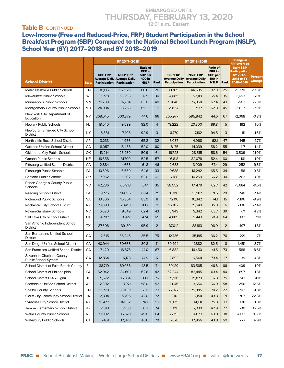#### Table **B** CONTINUED

Low-Income (Free and Reduced-Price, FRP) Student Participation in the School Breakfast Program (SBP) Compared to the National School Lunch Program (NSLP), School Year (SY) 2017–2018 and SY 2018–2019

|                                                   |               |                                        | SY 2017-2018                                                    |                                                                             |                |                                                                | SY 2018-2019                                                    |                                                                             |                | <b>Change in</b><br><b>FRP Average</b>                                                  |                          |
|---------------------------------------------------|---------------|----------------------------------------|-----------------------------------------------------------------|-----------------------------------------------------------------------------|----------------|----------------------------------------------------------------|-----------------------------------------------------------------|-----------------------------------------------------------------------------|----------------|-----------------------------------------------------------------------------------------|--------------------------|
| <b>School District</b>                            | <b>State</b>  | <b>SBP FRP</b><br><b>Participation</b> | <b>NSLP FRP</b><br>Average Daily Average Daily<br>Participation | <b>Ratio of</b><br>FRP in<br><b>SBP</b> per<br><b>100 in</b><br><b>NSLP</b> | Rank           | <b>SBP FRP</b><br><b>Average Daily</b><br><b>Participation</b> | <b>NSLP FRP</b><br><b>Average Daily</b><br><b>Participation</b> | <b>Ratio of</b><br>FRP in<br><b>SBP</b> per<br><b>100 in</b><br><b>NSLP</b> | Rank           | <b>Daily SBP</b><br><b>Participation,</b><br>SY 2017-<br><b>2018 to SY</b><br>2018-2019 | Percent<br><b>Change</b> |
| Metro Nashville Public Schools                    | TN            | 36,135                                 | 52,529                                                          | 68.8                                                                        | 26             | 30,765                                                         | 44,505                                                          | 69.1                                                                        | 25             | $-5,370$                                                                                | -17.5%                   |
| Milwaukee Public Schools                          | WI            | 35,778                                 | 53,298                                                          | 671                                                                         | 30             | 34,085                                                         | 52,119                                                          | 65.4                                                                        | 35             | $-1,693$                                                                                | $-5.0%$                  |
| Minneapolis Public Schools                        | MN            | 11,209                                 | 17,784                                                          | 63.0                                                                        | 40             | 10,646                                                         | 17,068                                                          | 62.4                                                                        | 43             | $-563$                                                                                  | $-5.3%$                  |
| Montgomery County Public Schools                  | MD            | 24,994                                 | 38,263                                                          | 65.3                                                                        | 31             | 23,157                                                         | 37,177                                                          | 62.3                                                                        | 45             | $-1,837$                                                                                | $-7.9%$                  |
| New York City Department of<br>Education          | NY            | 268,045                                | 600,379                                                         | 44.6                                                                        | 66             | 265,977                                                        | 595,842                                                         | 44.6                                                                        | 67             | $-2.068$                                                                                | $-0.8%$                  |
| <b>Newark Public Schools</b>                      | <b>NJ</b>     | 18,040                                 | 19,599                                                          | 92.0                                                                        | $\overline{4}$ | 18,222                                                         | 20,300                                                          | 89.8                                                                        | 5              | 182                                                                                     | 1.0%                     |
| Newburgh Enlarged City School<br><b>District</b>  | <b>NY</b>     | 6,881                                  | 7,408                                                           | 92.9                                                                        | 3              | 6,770                                                          | 7,162                                                           | 94.5                                                                        | 3              | $-111$                                                                                  | $-1.6%$                  |
| North Little Rock School District                 | AR            | 3,233                                  | 4,956                                                           | 65.2                                                                        | 32             | 3,087                                                          | 4,968                                                           | 62.1                                                                        | 47             | $-145$                                                                                  | $-4.7%$                  |
| Oakland Unified School District                   | CA            | 8,057                                  | 15,488                                                          | 52.0                                                                        | 60             | 8,175                                                          | 14,039                                                          | 58.2                                                                        | 55             | 117                                                                                     | 1.4%                     |
| Oklahoma City Public Schools                      | OK            | 13,214                                 | 25.939                                                          | 50.9                                                                        | 61             | 16,723                                                         | 28,515                                                          | 58.6                                                                        | 54             | 3,509                                                                                   | 21.0%                    |
| Omaha Public Schools                              | <b>NE</b>     | 16,658                                 | 31,700                                                          | 52.5                                                                        | 57             | 16,818                                                         | 32,078                                                          | 52.4                                                                        | 60             | 161                                                                                     | 1.0%                     |
| Pittsburg Unified School District                 | CA            | 2,884                                  | 4,668                                                           | 61.8                                                                        | 46             | 2,633                                                          | 3,909                                                           | 67.4                                                                        | 29             | $-252$                                                                                  | $-9.6%$                  |
| Pittsburgh Public Schools                         | PA            | 10,696                                 | 16,559                                                          | 64.6                                                                        | 33             | 10,638                                                         | 16,242                                                          | 65.5                                                                        | 34             | $-58$                                                                                   | $-0.5%$                  |
| <b>Portland Public Schools</b>                    | <b>OR</b>     | 7,052                                  | 11,202                                                          | 63.0                                                                        | 41             | 6,788                                                          | 10,259                                                          | 66.2                                                                        | 30             | $-263$                                                                                  | $-3.9%$                  |
| Prince George's County Public<br>Schools          | MD            | 42,236                                 | 65,913                                                          | 64.1                                                                        | 35             | 38,552                                                         | 61,479                                                          | 62.7                                                                        | 42             | $-3,684$                                                                                | $-9.6%$                  |
| <b>Reading School District</b>                    | PA            | 9,776                                  | 14,096                                                          | 69.4                                                                        | 25             | 10,016                                                         | 13,987                                                          | 71.6                                                                        | 20             | 240                                                                                     | 2.4%                     |
| <b>Richmond Public Schools</b>                    | VA            | 13,306                                 | 15,864                                                          | 83.9                                                                        | 8              | 12,110                                                         | 16,342                                                          | 74.1                                                                        | 15             | $-1,196$                                                                                | $-9.9%$                  |
| Rochester City School District                    | NY            | 17,098                                 | 20,418                                                          | 83.7                                                                        | 9              | 16,702                                                         | 19,649                                                          | 85.0                                                                        | 6              | $-396$                                                                                  | $-2.4%$                  |
| Rowan-Salisbury Schools                           | <b>NC</b>     | 6,020                                  | 9,649                                                           | 62.4                                                                        | 43             | 5,949                                                          | 9,342                                                           | 63.7                                                                        | 39             | $-71$                                                                                   | $-1.2%$                  |
| Salt Lake City School District                    | UT            | 4,707                                  | 9,927                                                           | 47.4                                                                        | 65             | 4,809                                                          | 9,443                                                           | 50.9                                                                        | 64             | 102                                                                                     | 2.1%                     |
| San Antonio Independent School<br><b>District</b> | TX            | 37,508                                 | 39,130                                                          | 95.9                                                                        | $\overline{2}$ | 37,012                                                         | 38,183                                                          | 96.9                                                                        | $\overline{2}$ | -497                                                                                    | $-1.3%$                  |
| San Bernardino Unified School<br><b>District</b>  | CA            | 12,515                                 | 35,246                                                          | 35.5                                                                        | 75             | 12,736                                                         | 35,185                                                          | 36.2                                                                        | 76             | 221                                                                                     | 1.7%                     |
| San Diego Unified School District                 | CA            | 40,944                                 | 50,666                                                          | 80.8                                                                        | 11             | 39,494                                                         | 47,882                                                          | 82.5                                                                        | 8              | $-1,451$                                                                                | $-3.7%$                  |
| San Francisco Unified School District             | CA            | 7,420                                  | 16,876                                                          | 44.0                                                                        | 67             | 6,832                                                          | 16,450                                                          | 41.5                                                                        | 73             | $-588$                                                                                  | $-8.6%$                  |
| Savannah-Chatham County<br>Public School System   | GA            | 12,854                                 | 17,173                                                          | 74.9                                                                        | 17             | 12,893                                                         | 17,564                                                          | 73.4                                                                        | 17             | 39                                                                                      | 0.3%                     |
| School District of Palm Beach County              | $\mathsf{FL}$ | 38,719                                 | 89,038                                                          | 43.5                                                                        | $71$           | 39,129                                                         | 83,565                                                          | 46.8                                                                        | 66             | 409                                                                                     | 1.0%                     |
| School District of Philadelphia                   | PA            | 52,942                                 | 84,601                                                          | 62.6                                                                        | 42             | 52,244                                                         | 82,445                                                          | 63.4                                                                        | 40             | -697                                                                                    | $-1.3%$                  |
| School District U-46 (Elgin)                      | IL            | 5,672                                  | 16,834                                                          | 33.7                                                                        | 76             | 5,916                                                          | 15,879                                                          | 37.3                                                                        | 75             | 243                                                                                     | 4.1%                     |
| <b>Scottsdale Unified School District</b>         | AZ            | 2,302                                  | 3,971                                                           | 58.0                                                                        | 52             | 2,046                                                          | 3,656                                                           | 56.0                                                                        | 58             | $-256$                                                                                  | $-12.5%$                 |
| <b>Shelby County Schools</b>                      | TN            | 56,779                                 | 81,031                                                          | 70.1                                                                        | 23             | 56,077                                                         | 79,885                                                          | 70.2                                                                        | 22             | -702                                                                                    | $-1.3%$                  |
| Sioux City Community School District              | IA            | 2,394                                  | 5,706                                                           | 42.0                                                                        | 72             | 3,101                                                          | 7,154                                                           | 43.3                                                                        | 71             | 707                                                                                     | 22.8%                    |
| <b>Syracuse City School District</b>              | <b>NY</b>     | 10,477                                 | 14,032                                                          | 74.7                                                                        | 18             | 10,615                                                         | 14,101                                                          | 75.3                                                                        | 13             | 138                                                                                     | 1.3%                     |
| Tempe Elementary School District                  | AZ            | 2,518                                  | 6,958                                                           | 36.2                                                                        | 74             | 3,018                                                          | 7,039                                                           | 42.9                                                                        | 72             | 500                                                                                     | 16.6%                    |
| <b>Wake County Public Schools</b>                 | <b>NC</b>     | 17,982                                 | 36,670                                                          | 49.0                                                                        | 64             | 22,113                                                         | 34,673                                                          | 63.8                                                                        | 38             | 4,132                                                                                   | 18.7%                    |
| <b>Waterbury Public Schools</b>                   | <b>CT</b>     | 5,401                                  | 12,378                                                          | 43.6                                                                        | 70             | 5,678                                                          | 12,966                                                          | 43.8                                                                        | 69             | 277                                                                                     | 4.9%                     |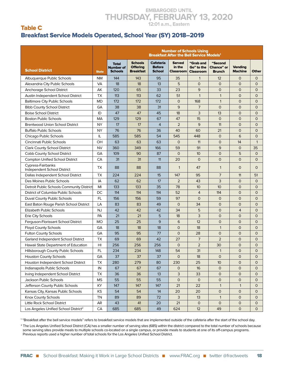#### Table C Breakfast Service Models Operated, School Year (SY) 2018–2019

|                                                  |                | <b>Number of Schools Using</b><br><b>Breakfast After the Bell Service Models<sup>1</sup></b> |                                                       |                                                    |                                             |                                             |                                               |                                  |              |  |  |
|--------------------------------------------------|----------------|----------------------------------------------------------------------------------------------|-------------------------------------------------------|----------------------------------------------------|---------------------------------------------|---------------------------------------------|-----------------------------------------------|----------------------------------|--------------|--|--|
| <b>School District</b>                           | <b>State</b>   | <b>Total</b><br><b>Number of</b><br><b>Schools</b>                                           | <b>Schools</b><br><b>Offering</b><br><b>Breakfast</b> | <b>Cafeteria</b><br><b>Before</b><br><b>School</b> | <b>Served</b><br>in the<br><b>Classroom</b> | "Grab and<br>Go" to the<br><b>Classroom</b> | "Second<br><b>Chance"</b> or<br><b>Brunch</b> | <b>Vending</b><br><b>Machine</b> | <b>Other</b> |  |  |
| Albuquerque Public Schools                       | <b>NM</b>      | 144                                                                                          | 143                                                   | 95                                                 | 35                                          | $\mathbf{1}$                                | 12                                            | $\mathbf 0$                      | $\mathbf{O}$ |  |  |
| Alexandria City Public Schools                   | VA             | 18                                                                                           | 18                                                    | 13                                                 | 5                                           | $\mathsf{O}$                                | $\mathsf{O}$                                  | $\mathbf{O}$                     | $\mathsf{O}$ |  |  |
| Anchorage School District                        | АK             | 120                                                                                          | 65                                                    | 33                                                 | 23                                          | 9                                           | $\mathsf{O}$                                  | $\mathbf 0$                      | $\mathsf{O}$ |  |  |
| Austin Independent School District               | TX             | 113                                                                                          | 113                                                   | 62                                                 | 51                                          | $\mathbf{1}$                                | $\mathbf{1}$                                  | $\circ$                          | $\mathsf{O}$ |  |  |
| <b>Baltimore City Public Schools</b>             | <b>MD</b>      | 172                                                                                          | 172                                                   | 172                                                | $\mathbf 0$                                 | 168                                         | $\mathbf{1}$                                  | $\mathsf{O}$                     | $\mathsf{O}$ |  |  |
| <b>Bibb County School District</b>               | GA             | 38                                                                                           | 38                                                    | 31                                                 | 9                                           | $\overline{7}$                              | $\mathsf{O}$                                  | $\mathsf{O}$                     | $\mathbf{O}$ |  |  |
| <b>Boise School District</b>                     | ID             | 47                                                                                           | 47                                                    | 45                                                 | 18                                          | 3                                           | 13                                            | $\overline{O}$                   | $\mathsf{O}$ |  |  |
| <b>Boston Public Schools</b>                     | MA             | 129                                                                                          | 129                                                   | 67                                                 | 47                                          | 15                                          | $\mathbf 0$                                   | $\overline{O}$                   | $\mathsf{O}$ |  |  |
| <b>Brentwood Union School District</b>           | <b>NY</b>      | 17                                                                                           | 17                                                    | 4                                                  | $\overline{2}$                              | 9                                           | 11                                            | $\overline{O}$                   | $\mathsf{O}$ |  |  |
| <b>Buffalo Public Schools</b>                    | <b>NY</b>      | 76                                                                                           | 76                                                    | 36                                                 | 40                                          | 60                                          | 21                                            | $\overline{O}$                   | $\mathbf{O}$ |  |  |
| Chicago Public Schools                           | IL             | 585                                                                                          | 585                                                   | 54                                                 | 545                                         | 448                                         | $\mathbf 0$                                   | 6                                | $\Omega$     |  |  |
| Cincinnati Public Schools                        | OH             | 63                                                                                           | 63                                                    | 63                                                 | $\mathsf{O}$                                | 11                                          | $\mathsf{O}$                                  | 14                               | $\mathbf{1}$ |  |  |
| <b>Clark County School District</b>              | <b>NV</b>      | 360                                                                                          | 349                                                   | 166                                                | 59                                          | 91                                          | 9                                             | $\mathbf{O}$                     | 35           |  |  |
| Cobb County School District                      | GA             | 109                                                                                          | 90                                                    | 87                                                 | $\circ$                                     | 10                                          | $\mathsf{O}$                                  | 5                                | $\mathbf 0$  |  |  |
| <b>Compton Unified School District</b>           | CA             | 31                                                                                           | 31                                                    | 11                                                 | 20                                          | $\mathsf{O}$                                | $\mathsf{O}$                                  | $\overline{0}$                   | $\mathbf{O}$ |  |  |
| Cypress-Fairbanks<br>Independent School District | TX             | 88                                                                                           | 88                                                    | 88                                                 | $\mathbf{1}$                                | 47                                          | $\mathbf{1}$                                  | $\circ$                          | $\mathbf{O}$ |  |  |
| Dallas Independent School District               | TX             | 224                                                                                          | 224                                                   | 15                                                 | 147                                         | 95                                          | $\overline{7}$                                | 11                               | 51           |  |  |
| Des Moines Public Schools                        | IA             | 62                                                                                           | 62                                                    | 17                                                 | $\overline{2}$                              | 43                                          | 3                                             | $\overline{O}$                   | $\mathsf{O}$ |  |  |
| Detroit Public Schools Community District        | MI             | 133                                                                                          | 133                                                   | 35                                                 | 78                                          | 10                                          | 10                                            | $\circ$                          | $\mathsf{O}$ |  |  |
| District of Columbia Public Schools              | DC             | 114                                                                                          | 114                                                   | 114                                                | 52                                          | $\overline{4}$                              | 114                                           | $\mathbf{O}$                     | $\mathsf{O}$ |  |  |
| Duval County Public Schools                      | FL             | 156                                                                                          | 156                                                   | 59                                                 | 97                                          | $\mathsf{O}$                                | $\mathbf{O}$                                  | $\mathbf{O}$                     | $\mathbf{O}$ |  |  |
| East Baton Rouge Parish School District          | LA             | 83                                                                                           | 83                                                    | 49                                                 | $\circ$                                     | 34                                          | $\mathsf{O}$                                  | $\circ$                          | $\mathbf{O}$ |  |  |
| <b>Elizabeth Public Schools</b>                  | <b>NJ</b>      | 42                                                                                           | 42                                                    | 42                                                 | 34                                          | 5                                           | $\mathsf{O}$                                  | $\overline{4}$                   | $\mathbf{O}$ |  |  |
| Erie City Schools                                | PA             | 21                                                                                           | 21                                                    | 5                                                  | 18                                          | 3                                           | $\mathsf{O}$                                  | $\mathsf{O}$                     | $\mathbf{O}$ |  |  |
| Ferguson-Florissant School District              | <b>MO</b>      | 25                                                                                           | 25                                                    | 9                                                  | 6                                           | 12                                          | $\mathsf{O}$                                  | $\overline{O}$                   | $\mathsf{O}$ |  |  |
| <b>Floyd County Schools</b>                      | GA             | 18                                                                                           | 18                                                    | 18                                                 | $\overline{O}$                              | 18                                          | $\mathbf{1}$                                  | $\overline{O}$                   | $\mathsf{O}$ |  |  |
| <b>Fulton County Schools</b>                     | GA             | 95                                                                                           | 95                                                    | 77                                                 | $\overline{O}$                              | 28                                          | $\overline{O}$                                | $\overline{O}$                   | $\mathsf{O}$ |  |  |
| Garland Independent School District              | TX             | 69                                                                                           | 69                                                    | 42                                                 | 27                                          | $\overline{7}$                              | $\overline{2}$                                | $\overline{O}$                   | $\mathbf{O}$ |  |  |
| Hawaii State Department of Education             | H <sub>l</sub> | 256                                                                                          | 256                                                   | 256                                                | $\overline{O}$                              | $\overline{2}$                              | 30                                            | $\mathbf 0$                      | 0            |  |  |
| Hillsborough County Public Schools               | FL.            | 234                                                                                          | 234                                                   | 148                                                | 54                                          | 31                                          | $\mathbf{1}$                                  | $\mathsf{O}$                     | $\mathsf{O}$ |  |  |
| <b>Houston County Schools</b>                    | GА             | 37                                                                                           | 37                                                    | 37                                                 | $\circ$                                     | 18                                          | $\mathsf{O}$                                  | $\mathsf{O}$                     | 0            |  |  |
| Houston Independent School District              | TX             | 280                                                                                          | 279                                                   | 80                                                 | 230                                         | 25                                          | 10                                            | $\mathsf{O}$                     | 0            |  |  |
| Indianapolis Public Schools                      | ${\sf IN}$     | 67                                                                                           | 67                                                    | 67                                                 | $\mathsf{o}$                                | 16                                          | $\mathsf O$                                   | $\mathsf{o}$                     | 0            |  |  |
| Irving Independent School District               | TX             | 36                                                                                           | 36                                                    | 13                                                 | 3                                           | 33                                          | 0                                             | $\mathsf{O}$                     | 0            |  |  |
| Jackson Public Schools                           | <b>MS</b>      | 55                                                                                           | 55                                                    | 55                                                 | 0                                           | 0                                           | 0                                             | $\mathsf{O}$                     | 0            |  |  |
| Jefferson County Public Schools                  | KY             | 147                                                                                          | 147                                                   | 147                                                | 21                                          | 22                                          | $\mathbf{1}$                                  | $\mathbf{1}$                     | 0            |  |  |
| Kansas City, Kansas Public Schools               | KS             | 54                                                                                           | 54                                                    | 14                                                 | 20                                          | 20                                          | 0                                             | $\mathsf{O}$                     | $\mathsf{O}$ |  |  |
| Knox County Schools                              | <b>TN</b>      | 89                                                                                           | 89                                                    | 72                                                 | 3                                           | 13                                          | $\mathbf{1}$                                  | $\mathsf{O}$                     | $\mathsf{O}$ |  |  |
| Little Rock School District                      | AR             | 43                                                                                           | 41                                                    | 20                                                 | 21                                          | 0                                           | $\mathsf{O}$                                  | $\mathsf{O}$                     | $\mathsf{O}$ |  |  |
| Los Angeles Unified School District <sup>2</sup> | CA             | 685                                                                                          | 685                                                   | 49                                                 | 624                                         | 12                                          | 49                                            | $\mathsf{O}$                     | $\mathsf{O}$ |  |  |

1 "Breakfast after the bell service models" refers to breakfast service models that are implemented outside of the cafeteria after the start of the school day.

<sup>2</sup> The Los Angeles Unified School District (CA) has a smaller number of serving sites (685) within the district compared to the total number of schools because some serving sites provide meals to multiple schools co-located on a single campus, or provide meals to students at one of its off-campus programs. Previous reports used a higher number of total schools for the Los Angeles Unified School District.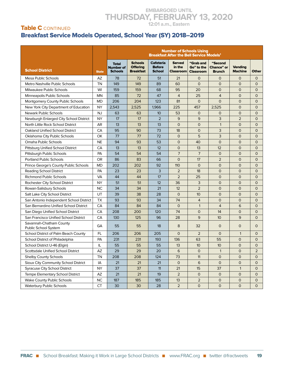#### Table C CONTINUED Breakfast Service Models Operated, School Year (SY) 2018–2019

|                                                 |              | <b>Number of Schools Using</b><br><b>Breakfast After the Bell Service Models<sup>1</sup></b> |                                                       |                                                    |                                             |                                             |                                               |                                  |                |  |  |
|-------------------------------------------------|--------------|----------------------------------------------------------------------------------------------|-------------------------------------------------------|----------------------------------------------------|---------------------------------------------|---------------------------------------------|-----------------------------------------------|----------------------------------|----------------|--|--|
| <b>School District</b>                          | <b>State</b> | <b>Total</b><br><b>Number of</b><br><b>Schools</b>                                           | <b>Schools</b><br><b>Offering</b><br><b>Breakfast</b> | <b>Cafeteria</b><br><b>Before</b><br><b>School</b> | <b>Served</b><br>in the<br><b>Classroom</b> | "Grab and<br>Go" to the<br><b>Classroom</b> | "Second<br><b>Chance"</b> or<br><b>Brunch</b> | <b>Vending</b><br><b>Machine</b> | <b>Other</b>   |  |  |
| Mesa Public Schools                             | AZ           | 78                                                                                           | 72                                                    | 51                                                 | 21                                          | $\mathbf{O}$                                | $\mathsf{O}$                                  | $\mathbf 0$                      | $\mathbf{O}$   |  |  |
| Metro Nashville Public Schools                  | TN           | 149                                                                                          | 149                                                   | 89                                                 | 60                                          | $\mathsf{O}$                                | $\mathsf{O}$                                  | $\mathbf{O}$                     | $\mathsf{O}$   |  |  |
| Milwaukee Public Schools                        | WI           | 159                                                                                          | 159                                                   | 68                                                 | 95                                          | 20                                          | $\mathbf 0$                                   | $\overline{O}$                   | $\mathsf{O}$   |  |  |
| Minneapolis Public Schools                      | <b>MN</b>    | 85                                                                                           | 72                                                    | 47                                                 | $\overline{4}$                              | 25                                          | $\overline{4}$                                | $\circ$                          | $\mathsf{O}$   |  |  |
| <b>Montgomery County Public Schools</b>         | MD           | 206                                                                                          | 204                                                   | 123                                                | 81                                          | $\mathsf{O}$                                | $\mathbf 0$                                   | $\circ$                          | $\mathsf{O}$   |  |  |
| New York City Department of Education           | <b>NY</b>    | 2,543                                                                                        | 2.525                                                 | 1,966                                              | 225                                         | 457                                         | 2,525                                         | $\mathsf{O}$                     | $\mathbf{O}$   |  |  |
| <b>Newark Public Schools</b>                    | <b>NJ</b>    | 63                                                                                           | 63                                                    | 10                                                 | 53                                          | $\mathsf{O}$                                | $\mathbf{O}$                                  | $\overline{O}$                   | $\mathbf{O}$   |  |  |
| Newburgh Enlarged City School District          | <b>NY</b>    | 17                                                                                           | 17                                                    | $\overline{2}$                                     | 9                                           | 9                                           | 3                                             | $\overline{2}$                   | $\mathsf{O}$   |  |  |
| North Little Rock School District               | AR           | 13                                                                                           | 13                                                    | 13                                                 | $\overline{O}$                              | $\overline{O}$                              | $\mathbf{1}$                                  | $\overline{O}$                   | $\mathsf{O}$   |  |  |
| <b>Oakland Unified School District</b>          | CA           | 95                                                                                           | 90                                                    | 73                                                 | 18                                          | $\mathsf{O}$                                | 3                                             | $\overline{O}$                   | $\mathsf{O}$   |  |  |
| Oklahoma City Public Schools                    | OK           | 77                                                                                           | 77                                                    | 72                                                 | $\mathbf 0$                                 | 5                                           | 3                                             | $\overline{O}$                   | $\mathbf{O}$   |  |  |
| Omaha Public Schools                            | <b>NE</b>    | 94                                                                                           | 93                                                    | 53                                                 | $\mathsf{O}$                                | 40                                          | $\mathsf{O}$                                  | $\mathbf 0$                      | $\mathsf{O}$   |  |  |
| <b>Pittsburg Unified School District</b>        | CA           | 13                                                                                           | 13                                                    | 12                                                 | $\mathsf{O}$                                | 13                                          | 12                                            | $\circ$                          | $\mathbf{O}$   |  |  |
| Pittsburgh Public Schools                       | PA           | 54                                                                                           | 54                                                    | 54                                                 | $\overline{7}$                              | $\overline{7}$                              | $\mathsf{O}$                                  | $\circ$                          | $\mathbf{O}$   |  |  |
| <b>Portland Public Schools</b>                  | OR.          | 86                                                                                           | 83                                                    | 66                                                 | $\overline{O}$                              | 17                                          | $\overline{2}$                                | $\circ$                          | $\mathbf{O}$   |  |  |
| Prince George's County Public Schools           | <b>MD</b>    | 202                                                                                          | 202                                                   | 92                                                 | 110                                         | $\mathbf{O}$                                | $\mathsf{O}$                                  | $\circ$                          | $\mathbf{O}$   |  |  |
| <b>Reading School District</b>                  | PA           | 23                                                                                           | 23                                                    | 3                                                  | $\overline{2}$                              | 18                                          | $\mathsf{O}$                                  | $\mathbf{O}$                     | $\mathbf{O}$   |  |  |
| <b>Richmond Public Schools</b>                  | VA           | 44                                                                                           | 44                                                    | 17                                                 | 2                                           | 25                                          | $\mathsf{O}$                                  | $\mathsf{O}$                     | $\mathbf{O}$   |  |  |
| Rochester City School District                  | <b>NY</b>    | 51                                                                                           | 51                                                    | 12                                                 | 36                                          | 3                                           | $\mathsf{O}$                                  | $\mathbf 0$                      | $\mathsf{O}$   |  |  |
| Rowan-Salisbury Schools                         | NC           | 34                                                                                           | 34                                                    | 21                                                 | 12                                          | $\overline{2}$                              | $\overline{0}$                                | $\mathbf 0$                      | $\mathsf{O}$   |  |  |
| Salt Lake City School District                  | UT           | 39                                                                                           | 38                                                    | 28                                                 | $\mathbf 0$                                 | 10                                          | $\overline{O}$                                | $\overline{O}$                   | $\mathsf{O}$   |  |  |
| San Antonio Independent School District         | <b>TX</b>    | 93                                                                                           | 93                                                    | 34                                                 | 74                                          | $\overline{4}$                              | $\overline{0}$                                | $\overline{O}$                   | $\mathbf{O}$   |  |  |
| San Bernardino Unified School District          | CA           | 84                                                                                           | 84                                                    | 84                                                 | $\overline{O}$                              | $\mathbf{1}$                                | $\overline{4}$                                | 6                                | $\mathbf{O}$   |  |  |
| San Diego Unified School District               | CA           | 208                                                                                          | 200                                                   | 120                                                | 74                                          | $\mathsf{O}$                                | 14                                            | $\overline{O}$                   | $\mathsf{O}$   |  |  |
| San Francisco Unified School District           | CA           | 130                                                                                          | 125                                                   | 96                                                 | 28                                          | 9                                           | 10 <sup>°</sup>                               | 9                                | $\mathsf{O}$   |  |  |
| Savannah-Chatham County<br>Public School System | GA           | 55                                                                                           | 55                                                    | 18                                                 | 8                                           | 32                                          | $\mathbf{O}$                                  | $\mathbf 0$                      | $\mathbf{O}$   |  |  |
| School District of Palm Beach County            | FL           | 206                                                                                          | 206                                                   | 205                                                | $\Omega$                                    | $\overline{2}$                              | $\mathbf 0$                                   | $\mathbf{1}$                     | $\mathbf{O}$   |  |  |
| School District of Philadelphia                 | PA           | 231                                                                                          | 231                                                   | 193                                                | 136                                         | 63                                          | 55                                            | $\overline{O}$                   | $\mathbf{O}$   |  |  |
| School District U-46 (Elgin)                    | IL           | 55                                                                                           | 55                                                    | 55                                                 | 13                                          | 10                                          | 10                                            | $\mathbf 0$                      | $\mathbf 0$    |  |  |
| Scottsdale Unified School District              | AZ           | 29                                                                                           | 29                                                    | 20                                                 | 6                                           | $\overline{O}$                              | $\mathbf{1}$                                  | $\mathsf{O}$                     | $\overline{2}$ |  |  |
| Shelby County Schools                           | TN           | 208                                                                                          | 208                                                   | 124                                                | 73                                          | 11                                          | $\mathsf{O}$                                  | $\mathsf{O}$                     | $\mathsf{O}$   |  |  |
| Sioux City Community School District            | IA           | 21                                                                                           | 21                                                    | 21                                                 | $\mathsf{O}$                                | 6                                           | 0                                             | $\mathsf{o}$                     | 0              |  |  |
| <b>Syracuse City School District</b>            | <b>NY</b>    | 37                                                                                           | 37                                                    | 11                                                 | 21                                          | 15                                          | 37                                            | $\mathbf{1}$                     | 0              |  |  |
| Tempe Elementary School District                | AZ           | 21                                                                                           | 21                                                    | 19                                                 | $\overline{2}$                              | 0                                           | $\mathsf{O}$                                  | $\mathsf{O}$                     | 0              |  |  |
| Wake County Public Schools                      | <b>NC</b>    | 187                                                                                          | 185                                                   | 185                                                | 13                                          | $\mathbf 2$                                 | 0                                             | $\circ$                          | 0              |  |  |
| <b>Waterbury Public Schools</b>                 | <b>CT</b>    | 30 <sub>o</sub>                                                                              | 30 <sub>o</sub>                                       | 28                                                 | $\overline{2}$                              | $\mathsf O$                                 | $\mathsf O$                                   | $\mathsf{O}$                     | $\mathsf{O}$   |  |  |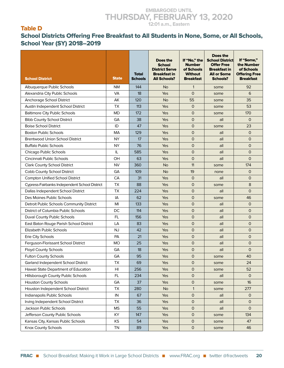#### Table D

#### School Districts Offering Free Breakfast to All Students in None, Some, or All Schools, School Year (SY) 2018–2019

| <b>School District</b>                        | <b>State</b>           | <b>Total</b><br><b>Schools</b> | Does the<br><b>School</b><br><b>District Serve</b><br><b>Breakfast in</b><br><b>All Schools?</b> | If "No," the<br><b>Number</b><br>of Schools<br><b>Without</b><br><b>Breakfast</b> | Does the<br><b>School District</b><br><b>Offer Free</b><br><b>Breakfast in</b><br><b>All or Some</b><br><b>Schools?</b> | If "Some,"<br>the Number<br>of Schools<br><b>Offering Free</b><br><b>Breakfast</b> |
|-----------------------------------------------|------------------------|--------------------------------|--------------------------------------------------------------------------------------------------|-----------------------------------------------------------------------------------|-------------------------------------------------------------------------------------------------------------------------|------------------------------------------------------------------------------------|
| Albuquerque Public Schools                    | NΜ                     | 144                            | <b>No</b>                                                                                        | $\mathbf{1}$                                                                      | some                                                                                                                    | 92                                                                                 |
| Alexandria City Public Schools                | <b>VA</b>              | 18                             | Yes                                                                                              | $\mathbf 0$                                                                       | some                                                                                                                    | 6                                                                                  |
| Anchorage School District                     | AK                     | 120                            | <b>No</b>                                                                                        | 55                                                                                | some                                                                                                                    | 35                                                                                 |
| Austin Independent School District            | TX                     | 113                            | Yes                                                                                              | $\mathsf{O}$                                                                      | some                                                                                                                    | 53                                                                                 |
| <b>Baltimore City Public Schools</b>          | <b>MD</b>              | 172                            | Yes                                                                                              | $\mathsf{O}$                                                                      | some                                                                                                                    | 170                                                                                |
| <b>Bibb County School District</b>            | GA                     | 38                             | Yes                                                                                              | $\overline{0}$                                                                    | all                                                                                                                     | $\mathsf{O}$                                                                       |
| <b>Boise School District</b>                  | ID                     | 47                             | Yes                                                                                              | $\overline{0}$                                                                    | some                                                                                                                    | 23                                                                                 |
| <b>Boston Public Schools</b>                  | <b>MA</b>              | 129                            | Yes                                                                                              | $\mathsf{O}$                                                                      | all                                                                                                                     | $\mathsf{O}$                                                                       |
| <b>Brentwood Union School District</b>        | <b>NY</b>              | 17                             | Yes                                                                                              | $\overline{O}$                                                                    | all                                                                                                                     | $\mathsf{O}$                                                                       |
| <b>Buffalo Public Schools</b>                 | <b>NY</b>              | 76                             | Yes                                                                                              | 0                                                                                 | all                                                                                                                     | $\mathbf 0$                                                                        |
| Chicago Public Schools                        | IL                     | 585                            | Yes                                                                                              | $\mathbf 0$                                                                       | all                                                                                                                     | $\mathsf{O}$                                                                       |
| Cincinnati Public Schools                     | OH                     | 63                             | Yes                                                                                              | $\overline{0}$                                                                    | all                                                                                                                     | $\mathsf{O}$                                                                       |
| <b>Clark County School District</b>           | <b>NV</b>              | 360                            | <b>No</b>                                                                                        | 11                                                                                | some                                                                                                                    | 174                                                                                |
| Cobb County School District                   | GA                     | 109                            | <b>No</b>                                                                                        | 19                                                                                | none                                                                                                                    | $\mathbf{O}$                                                                       |
| <b>Compton Unified School District</b>        | CA                     | 31                             | Yes                                                                                              | $\mathsf{O}$                                                                      | all                                                                                                                     | $\mathsf{O}$                                                                       |
| Cypress-Fairbanks Independent School District | TX                     | 88                             | Yes                                                                                              | $\mathsf{O}$                                                                      | some                                                                                                                    | 8                                                                                  |
| Dallas Independent School District            | <b>TX</b>              | 224                            | Yes                                                                                              | $\mathsf{O}$                                                                      | all                                                                                                                     | $\mathsf{O}$                                                                       |
| Des Moines Public Schools                     | IA                     | 62                             | Yes                                                                                              | $\overline{0}$                                                                    | some                                                                                                                    | 46                                                                                 |
| Detroit Public Schools Community District     | MI                     | 133                            | <b>Yes</b>                                                                                       | $\mathsf{O}$                                                                      | all                                                                                                                     | $\circ$                                                                            |
| District of Columbia Public Schools           | DC                     | 114                            | Yes                                                                                              | $\mathsf{O}$                                                                      | all                                                                                                                     | $\mathsf{O}$                                                                       |
| Duval County Public Schools                   | FL.                    | 156                            | Yes                                                                                              | $\overline{O}$                                                                    | all                                                                                                                     | 0                                                                                  |
| East Baton Rouge Parish School District       | LA                     | 83                             | Yes                                                                                              | 0                                                                                 | all                                                                                                                     | $\mathbf 0$                                                                        |
| <b>Elizabeth Public Schools</b>               | <b>NJ</b>              | 42                             | Yes                                                                                              | $\mathsf{O}$                                                                      | all                                                                                                                     | $\mathsf{O}$                                                                       |
| Erie City Schools                             | PA                     | 21                             | Yes                                                                                              | $\overline{O}$                                                                    | all                                                                                                                     | $\mathsf{O}$                                                                       |
| Ferguson-Florissant School District           | <b>MO</b>              | 25                             | Yes                                                                                              | $\mathsf{O}$                                                                      | all                                                                                                                     | $\mathbf{O}$                                                                       |
| <b>Floyd County Schools</b>                   | GA                     | 18                             | Yes                                                                                              | $\mathsf{O}$                                                                      | all                                                                                                                     | $\mathsf{O}$                                                                       |
| Fulton County Schools                         | GA                     | 95                             | Yes                                                                                              | $\overline{O}$                                                                    | some                                                                                                                    | 40                                                                                 |
| Garland Independent School District           | TX                     | 69                             | Yes                                                                                              | $\mathsf{O}$                                                                      | some                                                                                                                    | 24                                                                                 |
| Hawaii State Department of Education          | $\mathsf{H}\mathsf{I}$ | 256                            | Yes                                                                                              | $\mathsf O$                                                                       | some                                                                                                                    | 52                                                                                 |
| Hillsborough County Public Schools            | FL                     | 234                            | Yes                                                                                              | 0                                                                                 | all                                                                                                                     | $\mathsf{O}$                                                                       |
| <b>Houston County Schools</b>                 | GA                     | 37                             | Yes                                                                                              | 0                                                                                 | some                                                                                                                    | 16                                                                                 |
| Houston Independent School District           | <b>TX</b>              | 280                            | <b>No</b>                                                                                        | $\mathbf{1}$                                                                      | some                                                                                                                    | 277                                                                                |
| Indianapolis Public Schools                   | $\sf IN$               | 67                             | Yes                                                                                              | 0                                                                                 | all                                                                                                                     | $\mathsf{O}$                                                                       |
| Irving Independent School District            | TX                     | 36                             | Yes                                                                                              | 0                                                                                 | all                                                                                                                     | $\mathbf{O}$                                                                       |
| Jackson Public Schools                        | <b>MS</b>              | 55                             | Yes                                                                                              | $\mathsf O$                                                                       | all                                                                                                                     | $\mathsf{O}$                                                                       |
| Jefferson County Public Schools               | KY                     | 147                            | Yes                                                                                              | $\mathsf{O}\xspace$                                                               | some                                                                                                                    | 134                                                                                |
| Kansas City, Kansas Public Schools            | ΚS                     | 54                             | Yes                                                                                              | $\mathsf{O}\xspace$                                                               | some                                                                                                                    | 47                                                                                 |
| Knox County Schools                           | <b>TN</b>              | 89                             | Yes                                                                                              | $\mathsf O$                                                                       | some                                                                                                                    | 46                                                                                 |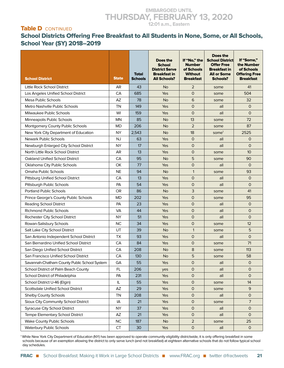#### Table **D** CONTINUED

#### School Districts Offering Free Breakfast to All Students in None, Some, or All Schools, School Year (SY) 2018–2019

| <b>School District</b>                       | <b>State</b> | <b>Total</b><br><b>Schools</b> | Does the<br><b>School</b><br><b>District Serve</b><br><b>Breakfast in</b><br><b>All Schools?</b> | If "No," the<br><b>Number</b><br>of Schools<br><b>Without</b><br><b>Breakfast</b> | Does the<br><b>School District</b><br><b>Offer Free</b><br><b>Breakfast in</b><br><b>All or Some</b><br><b>Schools?</b> | If "Some,"<br>the Number<br>of Schools<br><b>Offering Free</b><br><b>Breakfast</b> |
|----------------------------------------------|--------------|--------------------------------|--------------------------------------------------------------------------------------------------|-----------------------------------------------------------------------------------|-------------------------------------------------------------------------------------------------------------------------|------------------------------------------------------------------------------------|
| Little Rock School District                  | AR           | 43                             | <b>No</b>                                                                                        | $\overline{2}$                                                                    | some                                                                                                                    | 41                                                                                 |
| Los Angeles Unified School District          | CA           | 685                            | Yes                                                                                              | $\overline{0}$                                                                    | some                                                                                                                    | 504                                                                                |
| Mesa Public Schools                          | AZ           | 78                             | <b>No</b>                                                                                        | 6                                                                                 | some                                                                                                                    | 32                                                                                 |
| Metro Nashville Public Schools               | ΤN           | 149                            | Yes                                                                                              | 0                                                                                 | all                                                                                                                     | $\mathbf{O}$                                                                       |
| Milwaukee Public Schools                     | WI           | 159                            | <b>Yes</b>                                                                                       | $\overline{O}$                                                                    | all                                                                                                                     | $\Omega$                                                                           |
| Minneapolis Public Schools                   | MN           | 85                             | <b>No</b>                                                                                        | 13                                                                                | some                                                                                                                    | 72                                                                                 |
| Montgomery County Public Schools             | MD           | 206                            | <b>No</b>                                                                                        | $\overline{2}$                                                                    | some                                                                                                                    | 87                                                                                 |
| New York City Department of Education        | <b>NY</b>    | 2,543                          | <b>No</b>                                                                                        | 18                                                                                | some <sup>1</sup>                                                                                                       | 2525                                                                               |
| <b>Newark Public Schools</b>                 | <b>NJ</b>    | 63                             | Yes                                                                                              | $\overline{O}$                                                                    | all                                                                                                                     | $\mathsf{O}$                                                                       |
| Newburgh Enlarged City School District       | <b>NY</b>    | 17                             | Yes                                                                                              | 0                                                                                 | all                                                                                                                     | $\circ$                                                                            |
| North Little Rock School District            | AR           | 13                             | Yes                                                                                              | $\overline{0}$                                                                    | some                                                                                                                    | 10 <sup>10</sup>                                                                   |
| Oakland Unified School District              | CA           | 95                             | <b>No</b>                                                                                        | 5                                                                                 | some                                                                                                                    | 90                                                                                 |
| Oklahoma City Public Schools                 | OK           | 77                             | <b>Yes</b>                                                                                       | 0                                                                                 | all                                                                                                                     | $\mathbf 0$                                                                        |
| Omaha Public Schools                         | <b>NE</b>    | 94                             | <b>No</b>                                                                                        | $\mathbf{1}$                                                                      | some                                                                                                                    | 93                                                                                 |
| <b>Pittsburg Unified School District</b>     | CA           | 13                             | Yes                                                                                              | $\overline{O}$                                                                    | all                                                                                                                     | $\circ$                                                                            |
| Pittsburgh Public Schools                    | PA           | 54                             | <b>Yes</b>                                                                                       | 0                                                                                 | all                                                                                                                     | $\circ$                                                                            |
| <b>Portland Public Schools</b>               | OR           | 86                             | <b>No</b>                                                                                        | 3                                                                                 | some                                                                                                                    | 41                                                                                 |
| Prince George's County Public Schools        | <b>MD</b>    | 202                            | Yes                                                                                              | $\overline{O}$                                                                    | some                                                                                                                    | 95                                                                                 |
| Reading School District                      | PA           | 23                             | <b>Yes</b>                                                                                       | 0                                                                                 | all                                                                                                                     | $\mathbf{O}$                                                                       |
| <b>Richmond Public Schools</b>               | <b>VA</b>    | 44                             | Yes                                                                                              | $\overline{0}$                                                                    | all                                                                                                                     | $\mathbf{O}$                                                                       |
| Rochester City School District               | <b>NY</b>    | 51                             | Yes                                                                                              | $\overline{O}$                                                                    | all                                                                                                                     | $\mathsf{O}$                                                                       |
| Rowan-Salisbury Schools                      | <b>NC</b>    | 34                             | Yes                                                                                              | 0                                                                                 | some                                                                                                                    | 12                                                                                 |
| Salt Lake City School District               | UT           | 39                             | <b>No</b>                                                                                        | $\mathbf{1}$                                                                      | some                                                                                                                    | 5                                                                                  |
| San Antonio Independent School District      | <b>TX</b>    | 93                             | Yes                                                                                              | $\overline{O}$                                                                    | all                                                                                                                     | $\mathsf{O}$                                                                       |
| San Bernardino Unified School District       | CA           | 84                             | Yes                                                                                              | 0                                                                                 | some                                                                                                                    | 71                                                                                 |
| San Diego Unified School District            | CA           | 208                            | <b>No</b>                                                                                        | 8                                                                                 | some                                                                                                                    | 113                                                                                |
| San Francisco Unified School District        | CA           | 130                            | <b>No</b>                                                                                        | 5                                                                                 | some                                                                                                                    | 58                                                                                 |
| Savannah-Chatham County Public School System | GA           | 55                             | Yes                                                                                              | 0                                                                                 | all                                                                                                                     | $\mathsf{O}$                                                                       |
| School District of Palm Beach County         | FL.          | 206                            | yes                                                                                              | 0                                                                                 | all                                                                                                                     | $\mathbf{O}$                                                                       |
| School District of Philadelphia              | PA           | 231                            | Yes                                                                                              | 0                                                                                 | all                                                                                                                     | $\mathsf{O}$                                                                       |
| School District U-46 (Elgin)                 | IL           | 55                             | Yes                                                                                              | $\mathsf{O}$                                                                      | some                                                                                                                    | 14                                                                                 |
| Scottsdale Unified School District           | AZ           | 29                             | Yes                                                                                              | 0                                                                                 | some                                                                                                                    | 9                                                                                  |
| <b>Shelby County Schools</b>                 | TN           | 208                            | Yes                                                                                              | 0                                                                                 | all                                                                                                                     | $\mathsf{O}$                                                                       |
| Sioux City Community School District         | IA           | 21                             | Yes                                                                                              | 0                                                                                 | some                                                                                                                    | 7                                                                                  |
| <b>Syracuse City School District</b>         | <b>NY</b>    | 37                             | Yes                                                                                              | 0                                                                                 | all                                                                                                                     | $\mathsf{O}$                                                                       |
| Tempe Elementary School District             | AZ           | 21                             | Yes                                                                                              | $\mathsf{O}$                                                                      | all                                                                                                                     | $\mathsf{O}$                                                                       |
| <b>Wake County Public Schools</b>            | <b>NC</b>    | 187                            | <b>No</b>                                                                                        | $\overline{2}$                                                                    | some                                                                                                                    | 25                                                                                 |
| <b>Waterbury Public Schools</b>              | <b>CT</b>    | 30                             | Yes                                                                                              | 0                                                                                 | all                                                                                                                     | $\mathsf O$                                                                        |

1 While New York City Department of Education (NY) has been approved to operate community eligibility districtwide, it is only offering breakfast in some schools because of an exemption allowing the district to only serve lunch (and not breakfast) at eighteen alternative schools that do not follow typical school day schedules.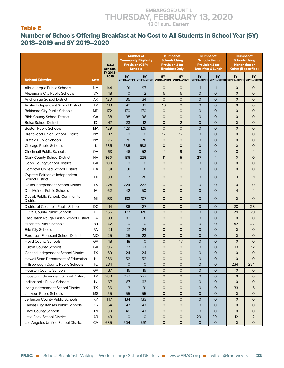#### Table E

#### Number of Schools Offering Breakfast at No Cost to All Students in School Year (SY) 2018–2019 and SY 2019–2020

|                                                         |              | <b>Total</b><br>Schools,<br>SY 2018- |                | <b>Number of</b><br><b>Community Eligibility</b><br><b>Provision (CEP)</b><br><b>Schools</b> |                  | <b>Number of</b><br><b>Schools Using</b><br><b>Provision 2 for</b><br><b>Breakfast Only</b> |                | <b>Number of</b><br><b>Schools Using</b><br><b>Provision 2 for</b><br><b>Breakfast &amp; Lunch</b> | <b>Number of</b><br><b>Schools Using</b><br><b>Nonpricing or</b><br><b>Other (if specified)</b> |                |  |
|---------------------------------------------------------|--------------|--------------------------------------|----------------|----------------------------------------------------------------------------------------------|------------------|---------------------------------------------------------------------------------------------|----------------|----------------------------------------------------------------------------------------------------|-------------------------------------------------------------------------------------------------|----------------|--|
| <b>School District</b>                                  | <b>State</b> | 2019                                 | SY             | <b>SY</b>                                                                                    | SY               | SY                                                                                          | SY             | <b>SY</b><br>2018-2019 2019-2020 2018-2019 2019-2020 2018-2019 2019-2020 2018-2019 2019-2020       | SY                                                                                              | <b>SY</b>      |  |
| Albuquerque Public Schools                              | <b>NM</b>    | 144                                  | 91             | 97                                                                                           | $\mathsf{O}$     | $\mathsf{O}$                                                                                | $\mathbf{1}$   | $\mathbf{1}$                                                                                       | $\Omega$                                                                                        | $\Omega$       |  |
| Alexandria City Public Schools                          | <b>VA</b>    | 18                                   | $\Omega$       | $\overline{2}$                                                                               | 6                | 6                                                                                           | $\overline{O}$ | $\Omega$                                                                                           | $\mathsf{O}$                                                                                    | $\mathbf 0$    |  |
| Anchorage School District                               | АK           | 120                                  | 35             | 34                                                                                           | $\mathsf{O}$     | $\overline{O}$                                                                              | $\overline{O}$ | $\mathbf{O}$                                                                                       | $\mathsf{O}$                                                                                    | $\mathbf 0$    |  |
| Austin Independent School District                      | <b>TX</b>    | 113                                  | 43             | 82                                                                                           | 10 <sup>10</sup> | $\mathsf{O}$                                                                                | $\overline{0}$ | $\mathbf{O}$                                                                                       | $\mathsf{O}$                                                                                    | $\mathbf 0$    |  |
| <b>Baltimore City Public Schools</b>                    | <b>MD</b>    | 172                                  | 170            | 170                                                                                          | $\mathsf{O}$     | $\mathsf{O}$                                                                                | $\mathsf{O}$   | $\mathbf{O}$                                                                                       | $\mathsf{O}$                                                                                    | $\mathbf 0$    |  |
| <b>Bibb County School District</b>                      | GA           | 38                                   | 38             | 36                                                                                           | 0                | $\mathsf{O}$                                                                                | $\mathsf{O}$   | $\mathbf{O}$                                                                                       | 0                                                                                               | $\mathbf 0$    |  |
| <b>Boise School District</b>                            | ID           | 47                                   | 23             | 12                                                                                           | 0                | $\overline{2}$                                                                              | $\mathsf{O}$   | 0                                                                                                  | $\mathsf{O}$                                                                                    | $\mathbf 0$    |  |
| <b>Boston Public Schools</b>                            | MA           | 129                                  | 129            | 129                                                                                          | $\mathsf{O}$     | $\mathsf{O}$                                                                                | $\overline{O}$ | $\mathsf{O}$                                                                                       | $\mathsf{O}$                                                                                    | $\mathbf 0$    |  |
| <b>Brentwood Union School District</b>                  | <b>NY</b>    | 17                                   | $\overline{O}$ | $\mathbf 0$                                                                                  | 17               | 17                                                                                          | $\overline{O}$ | $\mathsf{O}$                                                                                       | $\mathsf{O}$                                                                                    | $\overline{O}$ |  |
| <b>Buffalo Public Schools</b>                           | <b>NY</b>    | 76                                   | 76             | 76                                                                                           | $\mathsf{O}$     | $\overline{O}$                                                                              | $\overline{O}$ | 0                                                                                                  | $\mathsf{O}$                                                                                    | $\mathbf 0$    |  |
| Chicago Public Schools                                  | IL           | 585                                  | 585            | 588                                                                                          | $\mathsf{O}$     | $\overline{0}$                                                                              | $\overline{0}$ | 0                                                                                                  | $\mathsf{O}$                                                                                    | $\mathbf 0$    |  |
| Cincinnati Public Schools                               | OH           | 63                                   | 46             | 52                                                                                           | 14               | 9                                                                                           | $\overline{O}$ | $\mathsf{O}$                                                                                       | 3                                                                                               | $\overline{4}$ |  |
| Clark County School District                            | <b>NV</b>    | 360                                  | 136            | 226                                                                                          | 11               | 5                                                                                           | 27             | 4                                                                                                  | $\overline{0}$                                                                                  | $\overline{O}$ |  |
| Cobb County School District                             | GA           | 109                                  | $\overline{0}$ | $\Omega$                                                                                     | 0                | $\overline{O}$                                                                              | $\mathsf{O}$   | $\mathbf{O}$                                                                                       | $\mathsf{O}$                                                                                    | $\mathbf 0$    |  |
| <b>Compton Unified School District</b>                  | CA           | 31                                   | 31             | 31                                                                                           | 0                | $\overline{O}$                                                                              | $\overline{O}$ | $\mathsf{O}$                                                                                       | $\overline{0}$                                                                                  | $\overline{O}$ |  |
| Cypress-Fairbanks Independent<br><b>School District</b> | <b>TX</b>    | 88                                   | $\overline{7}$ | 26                                                                                           | $\mathsf{O}$     | $\mathbf 0$                                                                                 | 0              | $\mathbf{O}$                                                                                       | $\mathbf{1}$                                                                                    | $\mathbf{1}$   |  |
| Dallas Independent School District                      | <b>TX</b>    | 224                                  | 224            | 223                                                                                          | $\mathsf{O}$     | $\mathsf{O}$                                                                                | $\mathsf{O}$   | $\mathsf{O}$                                                                                       | $\mathsf{O}$                                                                                    | $\mathsf{O}$   |  |
| Des Moines Public Schools                               | IA           | 62                                   | 42             | 50                                                                                           | $\mathsf{O}$     | $\overline{O}$                                                                              | $\overline{O}$ | $\mathsf{O}$                                                                                       | $\overline{4}$                                                                                  | $\overline{4}$ |  |
| Detroit Public Schools Community<br><b>District</b>     | MI           | 133                                  | 133            | 107                                                                                          | $\mathsf{O}$     | $\mathsf{O}$                                                                                | $\mathbf 0$    | $\mathsf{O}$                                                                                       | $\mathsf{O}$                                                                                    | $\Omega$       |  |
| District of Columbia Public Schools                     | DC           | 114                                  | 86             | 87                                                                                           | $\mathsf{O}$     | $\mathsf{O}$                                                                                | $\mathsf{O}$   | $\mathsf{O}$                                                                                       | 28                                                                                              | 28             |  |
| Duval County Public Schools                             | <b>FL</b>    | 156                                  | 127            | 126                                                                                          | $\mathsf{O}$     | $\overline{O}$                                                                              | $\overline{O}$ | $\mathsf{O}$                                                                                       | 29                                                                                              | 29             |  |
| East Baton Rouge Parish School District                 | LA           | 83                                   | 83             | 81                                                                                           | $\mathsf{O}$     | $\overline{O}$                                                                              | $\overline{O}$ | 0                                                                                                  | $\mathsf{O}$                                                                                    | $\Omega$       |  |
| <b>Elizabeth Public Schools</b>                         | NJ           | 42                                   | $\overline{O}$ | $\overline{O}$                                                                               | $\overline{O}$   | $\mathsf{O}$                                                                                | $\overline{0}$ | 0                                                                                                  | 42                                                                                              | 42             |  |
| Erie City Schools                                       | PA           | 21                                   | 21             | 24                                                                                           | $\mathsf{O}$     | $\overline{O}$                                                                              | $\overline{O}$ | $\mathsf{O}$                                                                                       | $\mathsf{O}$                                                                                    | $\mathbf 0$    |  |
| Ferguson-Florissant School District                     | <b>MO</b>    | 25                                   | 25             | 23                                                                                           | $\mathsf{O}$     | $\overline{O}$                                                                              | $\overline{O}$ | $\mathsf{O}$                                                                                       | $\mathsf{O}$                                                                                    | $\overline{O}$ |  |
| <b>Floyd County Schools</b>                             | GA           | 18                                   | 18             | $\Omega$                                                                                     | 0                | 17                                                                                          | $\overline{O}$ | $\mathsf{O}$                                                                                       | $\mathsf{O}$                                                                                    | $\overline{O}$ |  |
| <b>Fulton County Schools</b>                            | GA           | 95                                   | 27             | 27                                                                                           | 0                | $\mathsf{O}$                                                                                | $\overline{O}$ | 0                                                                                                  | 13                                                                                              | 12             |  |
| Garland Independent School District                     | <b>TX</b>    | 69                                   | 24             | 24                                                                                           | 0                | $\overline{O}$                                                                              | $\overline{0}$ | $\mathbf{O}$                                                                                       | $\mathsf{O}$                                                                                    | $\mathbf 0$    |  |
| Hawaii State Department of Education                    | HI           | 256                                  | 52             | 52                                                                                           | 0                | $\Omega$                                                                                    | $\mathbf 0$    | $\Omega$                                                                                           | 0                                                                                               | 0              |  |
| Hillsborough County Public Schools                      | FL           | 234                                  | 0              | $\mathsf{O}$                                                                                 | 0                | 0                                                                                           | $\mathsf O$    | $\mathsf{O}$                                                                                       | 234                                                                                             | 234            |  |
| <b>Houston County Schools</b>                           | GA           | 37                                   | 16             | 19                                                                                           | 0                | 0                                                                                           | $\mathsf O$    | 0                                                                                                  | $\mathsf{O}$                                                                                    | $\mathsf{O}$   |  |
| Houston Independent School District                     | <b>TX</b>    | 280                                  | 277            | 277                                                                                          | 0                | $\mathbf 0$                                                                                 | $\mathsf{O}$   | 0                                                                                                  | $\mathsf{O}$                                                                                    | 0              |  |
| Indianapolis Public Schools                             | IN           | 67                                   | 67             | 63                                                                                           | 0                | $\mathsf{O}$                                                                                | $\mathsf{O}$   | 0                                                                                                  | $\mathsf{O}$                                                                                    | 0              |  |
| Irving Independent School District                      | TX           | 36                                   | 3              | 31                                                                                           | 0                | $\mathbf 0$                                                                                 | $\mathbf 0$    | 0                                                                                                  | 33                                                                                              | 5              |  |
| Jackson Public Schools                                  | <b>MS</b>    | 55                                   | 55             | 55                                                                                           | 0                | $\mathbf 0$                                                                                 | $\mathsf{O}$   | 0                                                                                                  | $\mathsf{O}$                                                                                    | 0              |  |
| Jefferson County Public Schools                         | KY           | 147                                  | 134            | 133                                                                                          | 0                | $\mathbf 0$                                                                                 | $\mathsf{O}$   | 0                                                                                                  | $\mathsf{O}$                                                                                    | $\mathsf{O}$   |  |
| Kansas City, Kansas Public Schools                      | KS           | 54                                   | 47             | 47                                                                                           | 0                | $\mathsf{O}$                                                                                | $\mathsf{O}$   | 0                                                                                                  | $\mathsf{O}$                                                                                    | 0              |  |
| Knox County Schools                                     | TN           | 89                                   | 46             | 47                                                                                           | 0                | $\mathsf{O}$                                                                                | $\mathsf{O}$   | $\mathbf 0$                                                                                        | $\mathsf{O}$                                                                                    | $\circ$        |  |
| Little Rock School District                             | AR           | 43                                   | $\mathbf 0$    | $\mathsf{O}$                                                                                 | 0                | $\mathsf O$                                                                                 | 29             | 29                                                                                                 | 12                                                                                              | 12             |  |
| Los Angeles Unified School District                     | CA           | 685                                  | 504            | 591                                                                                          | 0                | $\mathbf 0$                                                                                 | 0              | $\mathsf{O}$                                                                                       | $\mathsf{O}$                                                                                    | $\mathsf{O}$   |  |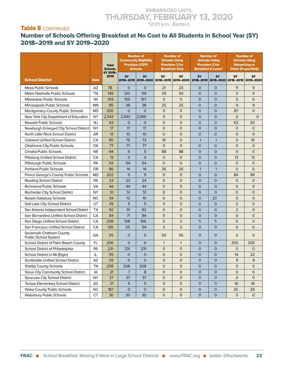#### Table E CONTINUED

#### Number of Schools Offering Breakfast at No Cost to All Students in School Year (SY) 2018–2019 and SY 2019–2020

|                                                 |              | <b>Total</b><br>Schools, | <b>Number of</b><br><b>Community Eligibility</b><br><b>Provision (CEP)</b><br><b>Schools</b> |              | <b>Number of</b><br><b>Schools Using</b><br><b>Provision 2 for</b><br><b>Breakfast Only</b> |                | <b>Number of</b><br><b>Schools Using</b><br><b>Provision 2 for</b><br><b>Breakfast &amp; Lunch</b> |                                                                                              | <b>Number of</b><br><b>Schools Using</b><br><b>Nonpricing or</b><br><b>Other (if specified)</b> |                |
|-------------------------------------------------|--------------|--------------------------|----------------------------------------------------------------------------------------------|--------------|---------------------------------------------------------------------------------------------|----------------|----------------------------------------------------------------------------------------------------|----------------------------------------------------------------------------------------------|-------------------------------------------------------------------------------------------------|----------------|
| <b>School District</b>                          | <b>State</b> | SY 2018-<br>2019         | <b>SY</b>                                                                                    | <b>SY</b>    | <b>SY</b>                                                                                   | <b>SY</b>      | <b>SY</b>                                                                                          | <b>SY</b><br>2018-2019 2019-2020 2018-2019 2019-2020 2018-2019 2019-2020 2018-2019 2019-2020 | SY                                                                                              | <b>SY</b>      |
| Mesa Public Schools                             | AZ           | 78                       | $\Omega$                                                                                     | $\Omega$     | 21                                                                                          | 23             | $\Omega$                                                                                           | 0                                                                                            | 11                                                                                              | 9              |
| Metro Nashville Public Schools                  | TN           | 149                      | 120                                                                                          | 119          | 29                                                                                          | 30             | $\mathbf{O}$                                                                                       | $\Omega$                                                                                     | $\mathbf{O}$                                                                                    | $\circ$        |
| Milwaukee Public Schools                        | WI           | 159                      | 159                                                                                          | 157          | $\mathsf{O}$                                                                                | $\mathsf{O}$   | $\mathsf{O}$                                                                                       | $\mathbf{O}$                                                                                 | $\mathsf{O}$                                                                                    | $\overline{O}$ |
| Minneapolis Public Schools                      | <b>MN</b>    | 85                       | 38                                                                                           | 38           | 25                                                                                          | 25             | $\mathsf{O}$                                                                                       | $\mathsf{O}$                                                                                 | 9                                                                                               | 9              |
| Montgomery County Public Schools                | <b>MD</b>    | 206                      | $\mathsf{O}$                                                                                 | $\mathbf{O}$ | $\mathsf{O}$                                                                                | $\mathsf{O}$   | $\mathsf{O}$                                                                                       | $\mathbf{O}$                                                                                 | 87                                                                                              | $\Omega$       |
| New York City Department of Education           | <b>NY</b>    | 2,543                    | 2,543                                                                                        | 2,565        | $\mathsf{O}$                                                                                | $\mathsf{O}$   | $\overline{0}$                                                                                     | $\mathbf{O}$                                                                                 | $\mathsf{O}$                                                                                    | $\mathsf{O}$   |
| Newark Public Schools                           | <b>NJ</b>    | 63                       | $\mathbf 0$                                                                                  | $\Omega$     | $\mathsf{O}$                                                                                | $\overline{O}$ | $\overline{O}$                                                                                     | $\mathsf{O}$                                                                                 | 63                                                                                              | 63             |
| Newburgh Enlarged City School District          | <b>NY</b>    | 17                       | 17                                                                                           | 17           | $\mathsf{O}$                                                                                | $\mathsf{O}$   | $\overline{0}$                                                                                     | 0                                                                                            | $\mathsf{O}$                                                                                    | $\mathbf 0$    |
| North Little Rock School District               | AR           | 13                       | 10                                                                                           | 10           | $\mathsf{O}$                                                                                | $\mathsf{O}$   | $\overline{0}$                                                                                     | $\mathsf{O}$                                                                                 | $\mathsf{O}$                                                                                    | $\overline{O}$ |
| <b>Oakland Unified School District</b>          | CA           | 95                       | 75                                                                                           | 73           | 19                                                                                          | $\overline{O}$ | $\mathbf{1}$                                                                                       | $\mathbf{1}$                                                                                 | $\mathsf{O}$                                                                                    | 10             |
| Oklahoma City Public Schools                    | OK           | 77                       | 77                                                                                           | 77           | $\mathsf{O}$                                                                                | $\overline{O}$ | $\mathsf{O}$                                                                                       | $\mathsf{O}$                                                                                 | $\mathsf{O}$                                                                                    | $\Omega$       |
| Omaha Public Schools                            | <b>NE</b>    | 94                       | 5                                                                                            | 5            | 88                                                                                          | 88             | $\mathsf{O}$                                                                                       | $\mathsf{O}$                                                                                 | $\mathsf{O}$                                                                                    | $\overline{O}$ |
| Pittsburg Unified School District               | CA           | 13                       | $\overline{O}$                                                                               | $\Omega$     | $\mathsf{O}$                                                                                | $\overline{O}$ | $\overline{O}$                                                                                     | $\mathsf{O}$                                                                                 | 13                                                                                              | 13             |
| Pittsburgh Public Schools                       | PA           | 54                       | 54                                                                                           | 54           | $\mathsf{O}$                                                                                | $\mathsf{O}$   | $\overline{0}$                                                                                     | $\mathsf{O}$                                                                                 | $\mathbf{O}$                                                                                    | $\mathbf 0$    |
| <b>Portland Public Schools</b>                  | <b>OR</b>    | 86                       | 14                                                                                           | 14           | 26                                                                                          | 26             | $\mathbf{1}$                                                                                       | $\mathbf{1}$                                                                                 | $\mathsf{O}$                                                                                    | $\Omega$       |
| Prince George's County Public Schools           | <b>MD</b>    | 202                      | 11                                                                                           | 11           | $\mathsf{O}$                                                                                | $\overline{O}$ | $\mathsf{O}$                                                                                       | 0                                                                                            | 84                                                                                              | 88             |
| <b>Reading School District</b>                  | PA           | 23                       | 23                                                                                           | 24           | $\mathsf{O}$                                                                                | $\mathsf{O}$   | $\mathsf{O}$                                                                                       | $\mathsf{O}$                                                                                 | $\mathsf{O}$                                                                                    | $\mathbf{O}$   |
| <b>Richmond Public Schools</b>                  | VA           | 44                       | 44                                                                                           | 44           | 0                                                                                           | $\overline{0}$ | $\overline{0}$                                                                                     | $\mathsf{O}$                                                                                 | $\mathsf{O}$                                                                                    | $\mathbf 0$    |
| Rochester City School District                  | <b>NY</b>    | 51                       | 51                                                                                           | 51           | $\overline{0}$                                                                              | $\overline{O}$ | $\overline{O}$                                                                                     | $\Omega$                                                                                     | $\mathsf{O}$                                                                                    | $\overline{O}$ |
| Rowan-Salisbury Schools                         | <b>NC</b>    | 34                       | 12                                                                                           | 10           | $\mathsf{O}$                                                                                | $\overline{O}$ | $\overline{0}$                                                                                     | 23                                                                                           | $\mathsf{O}$                                                                                    | $\mathbf 0$    |
| Salt Lake City School District                  | UT           | 39                       | 5                                                                                            | 5            | $\mathsf{O}$                                                                                | $\mathsf{O}$   | $\overline{0}$                                                                                     | $\mathsf{O}$                                                                                 | $\mathsf{O}$                                                                                    | $\mathbf 0$    |
| San Antonio Independent School District         | <b>TX</b>    | 93                       | 91                                                                                           | 92           | $\overline{0}$                                                                              | $\overline{O}$ | $\overline{O}$                                                                                     | $\mathsf{O}$                                                                                 | $\overline{2}$                                                                                  | $\overline{O}$ |
| San Bernardino Unified School District          | CA           | 84                       | 71                                                                                           | 84           | $\mathsf{O}$                                                                                | $\mathsf{O}$   | $\mathsf{O}$                                                                                       | $\mathsf{O}$                                                                                 | $\mathsf{O}$                                                                                    | $\Omega$       |
| San Diego Unified School District               | CA           | 208                      | 108                                                                                          | 106          | 0                                                                                           | $\mathsf{O}$   | 5                                                                                                  | 5                                                                                            | $\mathbf{O}$                                                                                    | $\mathbf 0$    |
| San Francisco Unified School District           | CA           | 130                      | 55                                                                                           | 54           | 3                                                                                           | $\overline{2}$ | $\mathsf{O}$                                                                                       | $\mathsf{O}$                                                                                 | $\mathsf{O}$                                                                                    | $\mathbf 0$    |
| Savannah-Chatham County<br>Public School System | GA           | 55                       | $\mathsf{O}$                                                                                 | $\mathbf 0$  | 55                                                                                          | 55             | $\overline{0}$                                                                                     | $\mathbf 0$                                                                                  | $\mathsf{O}$                                                                                    | $\Omega$       |
| School District of Palm Beach County            | FL.          | 206                      | $\mathsf{O}$                                                                                 | $\Omega$     | $\mathbf{1}$                                                                                | $\mathbf{1}$   | $\mathsf{O}$                                                                                       | $\mathsf{O}$                                                                                 | 205                                                                                             | 205            |
| School District of Philadelphia                 | PA           | 231                      | 231                                                                                          | 231          | $\mathsf{O}$                                                                                | $\overline{O}$ | $\overline{O}$                                                                                     | $\mathsf{O}$                                                                                 | $\mathsf{O}$                                                                                    | $\Omega$       |
| School District U-46 (Elgin)                    | IL           | 55                       | $\mathsf{O}$                                                                                 | $\mathbf{O}$ | 0                                                                                           | $\mathsf{O}$   | $\mathbf 0$                                                                                        | $\mathsf{O}$                                                                                 | 14                                                                                              | 22             |
| Scottsdale Unified School District              | AZ           | 29                       | O                                                                                            | 0            | O                                                                                           | $\sigma$       | $\sigma$                                                                                           | O                                                                                            | 9                                                                                               | 9              |
| Shelby County Schools                           | TN           | 208                      | 208                                                                                          | 208          | 0                                                                                           | $\mathbf 0$    | $\mathsf{O}$                                                                                       | $\mathsf{O}$                                                                                 | $\mathsf{O}$                                                                                    | 0              |
| Sioux City Community School District            | IA           | 21                       | 7                                                                                            | 8            | 0                                                                                           | $\mathsf{O}$   | $\mathsf O$                                                                                        | 0                                                                                            | $\mathsf{O}$                                                                                    | 0              |
| <b>Syracuse City School District</b>            | <b>NY</b>    | 37                       | 37                                                                                           | 37           | 0                                                                                           | 0              | 0                                                                                                  | 0                                                                                            | 0                                                                                               | 0              |
| Tempe Elementary School District                | AZ           | 21                       | 5                                                                                            | 5            | 0                                                                                           | 0              | $\mathsf O$                                                                                        | 0                                                                                            | 16                                                                                              | 16             |
| Wake County Public Schools                      | NC           | 187                      | 0                                                                                            | 0            | 0                                                                                           | 0              | 0                                                                                                  | 0                                                                                            | 25                                                                                              | 29             |
| Waterbury Public Schools                        | CT           | 30                       | 30                                                                                           | 30           | $\mathsf{O}$                                                                                | $\mathsf{O}$   | $\mathsf{O}$                                                                                       | 0                                                                                            | $\mathsf{O}$                                                                                    | $\mathsf{O}$   |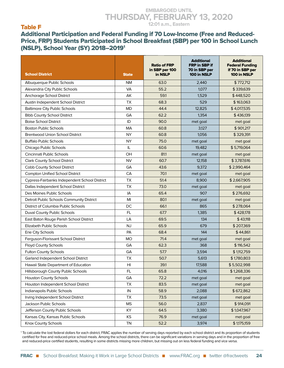#### Table F

#### Additional Participation and Federal Funding if 70 Low-Income (Free and Reduced-Price, FRP) Students Participated in School Breakfast (SBP) per 100 in School Lunch (NSLP), School Year (SY) 2018–20191

| <b>School District</b>                        | <b>State</b>    | <b>Ratio of FRP</b><br>in SBP per 100<br>in NSLP | <b>Additional</b><br>FRP in SBP if<br>70 in SBP per<br>100 in NSLP | <b>Additional</b><br><b>Federal Funding</b><br>if 70 in SBP per<br>100 in NSLP |
|-----------------------------------------------|-----------------|--------------------------------------------------|--------------------------------------------------------------------|--------------------------------------------------------------------------------|
| Albuquerque Public Schools                    | <b>NM</b>       | 63.0                                             | 2,440                                                              | \$772,712                                                                      |
| Alexandria City Public Schools                | <b>VA</b>       | 55.2                                             | 1,077                                                              | \$339,639                                                                      |
| Anchorage School District                     | AK              | 59.1                                             | 1,529                                                              | \$448,520                                                                      |
| Austin Independent School District            | <b>TX</b>       | 68.3                                             | 529                                                                | \$163,063                                                                      |
| <b>Baltimore City Public Schools</b>          | <b>MD</b>       | 44.4                                             | 12,825                                                             | \$4,017,535                                                                    |
| <b>Bibb County School District</b>            | GA              | 62.2                                             | 1,354                                                              | \$436,139                                                                      |
| <b>Boise School District</b>                  | ID              | 90.0                                             | met goal                                                           | met goal                                                                       |
| <b>Boston Public Schools</b>                  | MA              | 60.8                                             | 3,127                                                              | \$901,217                                                                      |
| <b>Brentwood Union School District</b>        | <b>NY</b>       | 60.8                                             | 1,056                                                              | \$329,391                                                                      |
| <b>Buffalo Public Schools</b>                 | <b>NY</b>       | 75.0                                             | met goal                                                           | met goal                                                                       |
| Chicago Public Schools                        | IL              | 60.6                                             | 19,482                                                             | \$5,719,064                                                                    |
| Cincinnati Public Schools                     | OH              | 81.1                                             | met goal                                                           | met goal                                                                       |
| Clark County School District                  | <b>NV</b>       | 60.7                                             | 12.158                                                             | \$3,787,616                                                                    |
| Cobb County School District                   | GA              | 43.6                                             | 9,372                                                              | \$2,990,464                                                                    |
| <b>Compton Unified School District</b>        | CA              | 70.1                                             | met goal                                                           | met goal                                                                       |
| Cypress-Fairbanks Independent School District | <b>TX</b>       | 51.4                                             | 8,900                                                              | \$2,667,905                                                                    |
| Dallas Independent School District            | <b>TX</b>       | 73.0                                             | met goal                                                           | met goal                                                                       |
| Des Moines Public Schools                     | IA              | 65.4                                             | 907                                                                | \$276,692                                                                      |
| Detroit Public Schools Community District     | MI              | 80.1                                             | met goal                                                           | met goal                                                                       |
| District of Columbia Public Schools           | DC              | 66.1                                             | 865                                                                | \$278,064                                                                      |
| Duval County Public Schools                   | FL.             | 67.7                                             | 1,385                                                              | \$428,178                                                                      |
| East Baton Rouge Parish School District       | LA              | 69.5                                             | 134                                                                | \$43,118                                                                       |
| Elizabeth Public Schools                      | <b>NJ</b>       | 65.9                                             | 679                                                                | \$207,369                                                                      |
| Erie City Schools                             | PA              | 68.4                                             | 144                                                                | \$44,861                                                                       |
| Ferguson-Florissant School District           | <b>MO</b>       | 71.4                                             | met goal                                                           | met goal                                                                       |
| Floyd County Schools                          | GA              | 62.3                                             | 368                                                                | \$116,542                                                                      |
| <b>Fulton County Schools</b>                  | GA              | 57.7                                             | 3,594                                                              | \$1,112,759                                                                    |
| Garland Independent School District           | <b>TX</b>       | 50.7                                             | 5,613                                                              | \$1,780,803                                                                    |
| Hawaii State Department of Education          | H <sub>II</sub> | 39.1                                             | 17,588                                                             | \$5,502,998                                                                    |
| Hillsborough County Public Schools            | FL              | 65.8                                             | 4,016                                                              | \$1,268,336                                                                    |
| <b>Houston County Schools</b>                 | GA              | 72.2                                             | met goal                                                           | met goal                                                                       |
| Houston Independent School District           | TX              | 83.5                                             | met goal                                                           | met goal                                                                       |
| Indianapolis Public Schools                   | IN              | 58.9                                             | 2,088                                                              | \$672,862                                                                      |
| Irving Independent School District            | TX              | 73.5                                             | met goal                                                           | met goal                                                                       |
| Jackson Public Schools                        | <b>MS</b>       | 56.0                                             | 2,837                                                              | \$914,091                                                                      |
| Jefferson County Public Schools               | KY              | 64.5                                             | 3,380                                                              | \$1,047,967                                                                    |
| Kansas City, Kansas Public Schools            | KS              | 76.9                                             | met goal                                                           | met goal                                                                       |
| Knox County Schools                           | TN              | 52.2                                             | 3,974                                                              | \$1,175,159                                                                    |

<sup>1</sup> To calculate the lost federal dollars for each district, FRAC applies the number of serving days reported by each school district and its proportion of students certified for free and reduced-price school meals. Among the school districts, there can be significant variations in serving days and in the proportion of free and reduced-price certified students, resulting in some districts missing more children, but missing out on less federal funding and vice versa.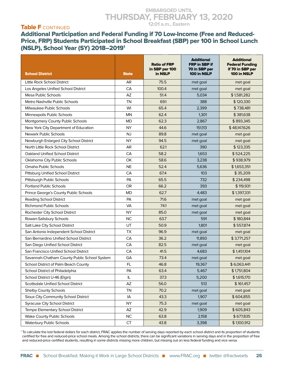#### Table F CONTINUED

Additional Participation and Federal Funding if 70 Low-Income (Free and Reduced-Price, FRP) Students Participated in School Breakfast (SBP) per 100 in School Lunch (NSLP), School Year (SY) 2018–20191

| <b>School District</b>                       | <b>State</b>           | <b>Ratio of FRP</b><br>in SBP per 100<br>in NSLP | <b>Additional</b><br>FRP in SBP if<br>70 in SBP per<br>100 in NSLP | <b>Additional</b><br><b>Federal Funding</b><br>if 70 in SBP per<br>100 in NSLP |
|----------------------------------------------|------------------------|--------------------------------------------------|--------------------------------------------------------------------|--------------------------------------------------------------------------------|
| Little Rock School District                  | AR                     | 75.5                                             | met goal                                                           | met goal                                                                       |
| Los Angeles Unified School District          | CA                     | 100.4                                            | met goal                                                           | met goal                                                                       |
| Mesa Public Schools                          | AZ                     | 51.4                                             | 5,034                                                              | \$1,581,282                                                                    |
| Metro Nashville Public Schools               | <b>TN</b>              | 69.1                                             | 388                                                                | \$120,330                                                                      |
| Milwaukee Public Schools                     | WI                     | 65.4                                             | 2,399                                                              | \$738,481                                                                      |
| Minneapolis Public Schools                   | <b>MN</b>              | 62.4                                             | 1,301                                                              | \$381,638                                                                      |
| Montgomery County Public Schools             | MD                     | 62.3                                             | 2.867                                                              | \$893,345                                                                      |
| New York City Department of Education        | <b>NY</b>              | 44.6                                             | 151,113                                                            | \$48,147,626                                                                   |
| <b>Newark Public Schools</b>                 | <b>NJ</b>              | 89.8                                             | met goal                                                           | met goal                                                                       |
| Newburgh Enlarged City School District       | <b>NY</b>              | 94.5                                             | met goal                                                           | met goal                                                                       |
| North Little Rock School District            | AR                     | 62.1                                             | 390                                                                | \$123,335                                                                      |
| Oakland Unified School District              | CA                     | 58.2                                             | 1,653                                                              | \$524,225                                                                      |
| Oklahoma City Public Schools                 | <b>OK</b>              | 58.6                                             | 3,238                                                              | \$938,979                                                                      |
| Omaha Public Schools                         | <b>NE</b>              | 52.4                                             | 5,636                                                              | \$1,653,351                                                                    |
| Pittsburg Unified School District            | CA                     | 67.4                                             | 103                                                                | \$35,209                                                                       |
| Pittsburgh Public Schools                    | PA                     | 65.5                                             | 732                                                                | \$234,498                                                                      |
| <b>Portland Public Schools</b>               | <b>OR</b>              | 66.2                                             | 393                                                                | \$119,931                                                                      |
| Prince George's County Public Schools        | <b>MD</b>              | 62.7                                             | 4,483                                                              | \$1,397,331                                                                    |
| <b>Reading School District</b>               | PA                     | 71.6                                             | met goal                                                           | met goal                                                                       |
| <b>Richmond Public Schools</b>               | <b>VA</b>              | 74.1                                             | met goal                                                           | met goal                                                                       |
| Rochester City School District               | <b>NY</b>              | 85.0                                             | met goal                                                           | met goal                                                                       |
| Rowan-Salisbury Schools                      | <b>NC</b>              | 63.7                                             | 591                                                                | \$180,844                                                                      |
| Salt Lake City School District               | UT                     | 50.9                                             | 1,801                                                              | \$557,874                                                                      |
| San Antonio Independent School District      | <b>TX</b>              | 96.9                                             | met goal                                                           | met goal                                                                       |
| San Bernardino Unified School District       | CA                     | 36.2                                             | 11,893                                                             | \$3,771,257                                                                    |
| San Diego Unified School District            | CA                     | 82.5                                             | met goal                                                           | met goal                                                                       |
| San Francisco Unified School District        | CA                     | 41.5                                             | 4,683                                                              | \$1,451,104                                                                    |
| Savannah-Chatham County Public School System | GA                     | 73.4                                             | met goal                                                           | met goal                                                                       |
| School District of Palm Beach County         | FL                     | 46.8                                             | 19,367                                                             | \$6,063,441                                                                    |
| School District of Philadelphia              | PA                     | 63.4                                             | 5,467                                                              | \$1,751,804                                                                    |
| School District U-46 (Elgin)                 | IL                     | 37.3                                             | 5,200                                                              | \$1,615,170                                                                    |
| Scottsdale Unified School District           | $\mathsf{A}\mathsf{Z}$ | 56.0                                             | 513                                                                | \$161,457                                                                      |
| <b>Shelby County Schools</b>                 | TN                     | 70.2                                             | met goal                                                           | met goal                                                                       |
| Sioux City Community School District         | IA                     | 43.3                                             | 1,907                                                              | \$604,855                                                                      |
| <b>Syracuse City School District</b>         | <b>NY</b>              | 75.3                                             | met goal                                                           | met goal                                                                       |
| Tempe Elementary School District             | AZ                     | 42.9                                             | 1,909                                                              | \$605,843                                                                      |
| Wake County Public Schools                   | <b>NC</b>              | 63.8                                             | 2,158                                                              | \$677,835                                                                      |
| <b>Waterbury Public Schools</b>              | CT                     | 43.8                                             | 3,398                                                              | \$1,100,912                                                                    |

1 To calculate the lost federal dollars for each district, FRAC applies the number of serving days reported by each school district and its proportion of students certified for free and reduced-price school meals. Among the school districts, there can be significant variations in serving days and in the proportion of free and reduced-price certified students, resulting in some districts missing more children, but missing out on less federal funding and vice versa.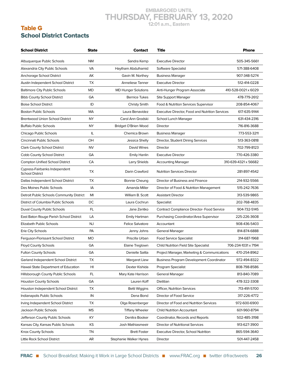#### Table G School District Contacts

| <b>School District</b>                                  | <b>State</b> | <b>Contact</b>             | Title                                                  | <b>Phone</b>         |
|---------------------------------------------------------|--------------|----------------------------|--------------------------------------------------------|----------------------|
| Albuquerque Public Schools                              | <b>NM</b>    | Sandra Kemp                | <b>Executive Director</b>                              | 505-345-5661         |
| Alexandria City Public Schools                          | VA           | Haytham Abdulhamid         | Software Specialist                                    | 571-388-6408         |
| Anchorage School District                               | AK           | Gavin M. Northey           | <b>Business Manager</b>                                | 907-348-5274         |
| Austin Independent School District                      | <b>TX</b>    | Anneliese Tanner           | <b>Executive Director</b>                              | 512-414-0228         |
| <b>Baltimore City Public Schools</b>                    | <b>MD</b>    | <b>MD Hunger Solutions</b> | Anti-Hunger Program Associate                          | 410-528-0021 x 6029  |
| <b>Bibb County School District</b>                      | GA           | <b>Bernice Tukes</b>       | Site Support Manager                                   | 478-779-2612         |
| <b>Boise School District</b>                            | ID           | Christy Smith              | Food & Nutrition Services Supervisor                   | 208-854-4067         |
| <b>Boston Public Schools</b>                            | MA           | Laura Benavidez            | <b>Executive Director, Food and Nutrition Services</b> | 617-635-9144         |
| <b>Brentwood Union School District</b>                  | <b>NY</b>    | Carol Ann Grodski          | School Lunch Manager                                   | 631-434-2316         |
| Buffalo Public Schools                                  | NY           | Bridget O'Brien Wood       | Director                                               | 716-816-3688         |
| Chicago Public Schools                                  | IL           | Chemica Brown              | <b>Business Manager</b>                                | 773-553-3211         |
| Cincinnati Public Schools                               | OН           | Jessica Shelly             | Director, Student Dining Services                      | 513-363-0818         |
| Clark County School District                            | <b>NV</b>    | David Wines                | Director                                               | 702-799-8123         |
| Cobb County School District                             | GA           | Emily Hanlin               | <b>Executive Director</b>                              | 770-426-3380         |
| <b>Compton Unified School District</b>                  | CA           | Larry Shields              | <b>Accounting Manager</b>                              | 310-639-4321 x 56682 |
| Cypress-Fairbanks Independent<br><b>School District</b> | ТX           | Darin Crawford             | <b>Nutrition Services Director</b>                     | 281-897-4542         |
| Dallas Independent School District                      | TX           | <b>Bonnie Cheung</b>       | Director of Business and Finance                       | 214-932-5566         |
| Des Moines Public Schools                               | IA           | Amanda Miller              | Director of Food & Nutrition Management                | 515-242-7636         |
| Detroit Public Schools Community District               | MI           | William B. Scott           | <b>Assistant Director</b>                              | 313-539-9865         |
| District of Columbia Public Schools                     | DC           | Laura Cochrun              | Specialist                                             | 202-768-4835         |
| Duval County Public Schools                             | FL.          | Jane Zentko                | <b>Contract Compliance Director-Food Service</b>       | 904-732-5145         |
| East Baton Rouge Parish School District                 | LA           | Emily Hartman              | Purchasing Coordinator/Area Supervisor                 | 225-226-3608         |
| <b>Elizabeth Public Schools</b>                         | <b>NJ</b>    | <b>Felice Salvatore</b>    | Accountant                                             | 908-436-5403         |
| Erie City Schools                                       | PA           | Jenny Johns                | General Manager                                        | 814-874-6888         |
| Ferguson-Florissant School District                     | <b>MO</b>    | Priscilla Urban            | <b>Food Service Specialist</b>                         | 314-687-1968         |
| <b>Floyd County Schools</b>                             | GA           | Elaine Treglown            | <b>Child Nutrition Field Site Specialist</b>           | 706-234-1031 x 7194  |
| <b>Fulton County Schools</b>                            | GA           | Denielle Saitta            | Project Manager, Marketing & Communications            | 470-254-8962         |
| Garland Independent School District                     | TX           | Margaret Liew              | <b>Business Program Development Coordinator</b>        | 972-494-8322         |
| Hawaii State Department of Education                    | HI           | Dexter Kishida             | <b>Program Specialist</b>                              | 808-798-8586         |
| Hillsborough County Public Schools                      | FL.          | Mary Kate Harrison         | General Manager                                        | 813-840-7089         |
| <b>Houston County Schools</b>                           | GA           | Lauren Koff                | Dietitian                                              | 478-322-3308         |
| Houston Independent School District                     | TX           | <b>Betti Wiggins</b>       | Officer, Nutrition Services                            | 713-491-5700         |
| Indianapolis Public Schools                             | ${\sf IN}$   | Dena Bond                  | Director of Food Service                               | 317-226-4772         |
| Irving Independent School District                      | TX           | Olga Rosenberger           | Director of Food and Nutrition Services                | 972-600-6900         |
| Jackson Public Schools                                  | МS           | <b>Tiffany Wheeler</b>     | <b>Child Nutrition Accountant</b>                      | 601-960-8794         |
| Jefferson County Public Schools                         | KY           | Denitra Booker             | Coordinator, Records and Reports                       | 502-485-3198         |
| Kansas City, Kansas Public Schools                      | ΚS           | Josh Mathiasmeeir          | Director of Nutritional Services                       | 913-627-3900         |
| Knox County Schools                                     | ΤN           | <b>Brett Foster</b>        | Executive Director, School Nutrition                   | 865-594-3640         |
| Little Rock School District                             | AR           | Stephanie Walker Hynes     | Director                                               | 501-447-2458         |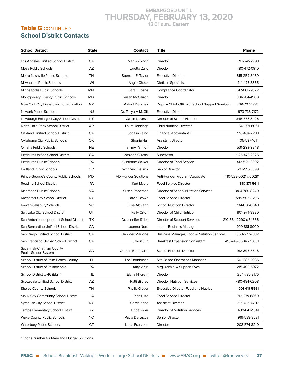#### Table **G** CONTINUED School District Contacts

| School District                                 | <b>State</b> | Contact                    | Title                                           | <b>Phone</b>         |
|-------------------------------------------------|--------------|----------------------------|-------------------------------------------------|----------------------|
| Los Angeles Unified School District             | CA           | Manish Singh               | Director                                        | 213-241-2993         |
| <b>Mesa Public Schools</b>                      | AZ           | Loretta Zullo              | Director                                        | 480-472-0910         |
| Metro Nashville Public Schools                  | <b>TN</b>    | Spencer E. Taylor          | <b>Executive Director</b>                       | 615-259-8469         |
| Milwaukee Public Schools                        | WI           | Angie Check                | <b>Dietitian Specialist</b>                     | 414-475-8365         |
| Minneapolis Public Schools                      | <b>MN</b>    | Sara Eugene                | <b>Compliance Coordinator</b>                   | 612-668-2822         |
| Montgomery County Public Schools                | <b>MD</b>    | Susan McCarron             | Director                                        | 301-284-4900         |
| New York City Department of Education           | NY.          | Robert Deschak             | Deputy Chief, Office of School Support Services | 718-707-4334         |
| <b>Newark Public Schools</b>                    | <b>NJ</b>    | Dr. Tonya A McGill         | <b>Executive Director</b>                       | 973-733-7172         |
| Newburgh Enlarged City School District          | NY           | Caitlin Lazarski           | Director of School Nutrition                    | 845-563-3426         |
| North Little Rock School District               | AR           | Laura Jennings             | <b>Child Nutrition Director</b>                 | 501-771-8061         |
| Oakland Unified School District                 | CA           | Sodalin Kaing              | Financial Accountant II                         | 510-434-2233         |
| Oklahoma City Public Schools                    | ОК           | Shonia Hall                | <b>Assistant Director</b>                       | 405-587-1014         |
| Omaha Public Schools                            | <b>NE</b>    | Tammy Yarmon               | Director                                        | 531-299-9848         |
| Pittsburg Unified School District               | CA           | Kathleen Culcasi           | Supervisor                                      | 925-473-2325         |
| Pittsburgh Public Schools                       | PA           | <b>Curtistine Walker</b>   | Director of Food Service                        | 412-529-3302         |
| <b>Portland Public Schools</b>                  | <b>OR</b>    | <b>Whitney Ellersick</b>   | Senior Director                                 | 503-916-3399         |
| Prince George's County Public Schools           | <b>MD</b>    | <b>MD Hunger Solutions</b> | Anti-Hunger Program Associate                   | 410-528-0021 x 60291 |
| Reading School District                         | PA           | Kurt Myers                 | <b>Food Service Director</b>                    | 610-371-5611         |
| <b>Richmond Public Schools</b>                  | <b>VA</b>    | Susan Roberson             | Director of School Nutrition Services           | 804-780-8240         |
| Rochester City School District                  | NY           | David Brown                | <b>Food Service Director</b>                    | 585-506-8706         |
| Rowan-Salisbury Schools                         | <b>NC</b>    | Lisa Altmann               | <b>School Nutrition Director</b>                | 704-630-6048         |
| Salt Lake City School District                  | UT           | Kelly Orton                | Director of Child Nutrition                     | 801-974-8380         |
| San Antonio Independent School District         | TX           | Dr. Jennifer Sides         | Director of Support Services                    | 210-554-2290 x 54336 |
| San Bernardino Unified School District          | CA           | Joanna Nord                | Interim Business Manager                        | 909-881-8000         |
| San Diego Unified School District               | CA           | Jennifer Marrone           | Business Manager, Food & Nutrition Services     | 858-627-7332         |
| San Francisco Unified School District           | CA           | Jiwon Jun                  | <b>Breakfast Expansion Consultant</b>           | 415-749-3604 x 13031 |
| Savannah-Chatham County<br>Public School System | GA           | Onetha Bonaparte           | <b>School Nutrition Director</b>                | 912-395-5548         |
| School District of Palm Beach County            | FL.          | Lori Dornbusch             | <b>Site Based Operations Manager</b>            | 561-383-2035         |
| School District of Philadelphia                 | PA           | Amy Virus                  | Mrg. Admin. & Support Svcs                      | 215-400-5972         |
| School District U-46 (Elgin)                    | IL.          | Elena Hildreth             | Director                                        | 224-735-8176         |
| <b>Scottsdale Unified School District</b>       | AZ           | Patti Bilbrey              | Director, Nutrition Services                    | 480-484-6208         |
| <b>Shelby County Schools</b>                    | TN           | Phyllis Glover             | <b>Executive Director-Food and Nutrition</b>    | 901-416-5561         |
| Sioux City Community School District            | IA           | Rich Luze                  | <b>Food Service Director</b>                    | 712-279-6860         |
| <b>Syracuse City School District</b>            | <b>NY</b>    | Carrie Kane                | <b>Assistant Director</b>                       | 315-435-4207         |
| Tempe Elementary School District                | AZ           | Linda Rider                | Director of Nutrition Services                  | 480-642-1541         |
| <b>Wake County Public Schools</b>               | <b>NC</b>    | Paula De Lucca             | Senior Director                                 | 919-588-3531         |
| <b>Waterbury Public Schools</b>                 | <b>CT</b>    | Linda Franzese             | Director                                        | 203-574-8210         |

<sup>1</sup> Phone number for Maryland Hunger Solutions.